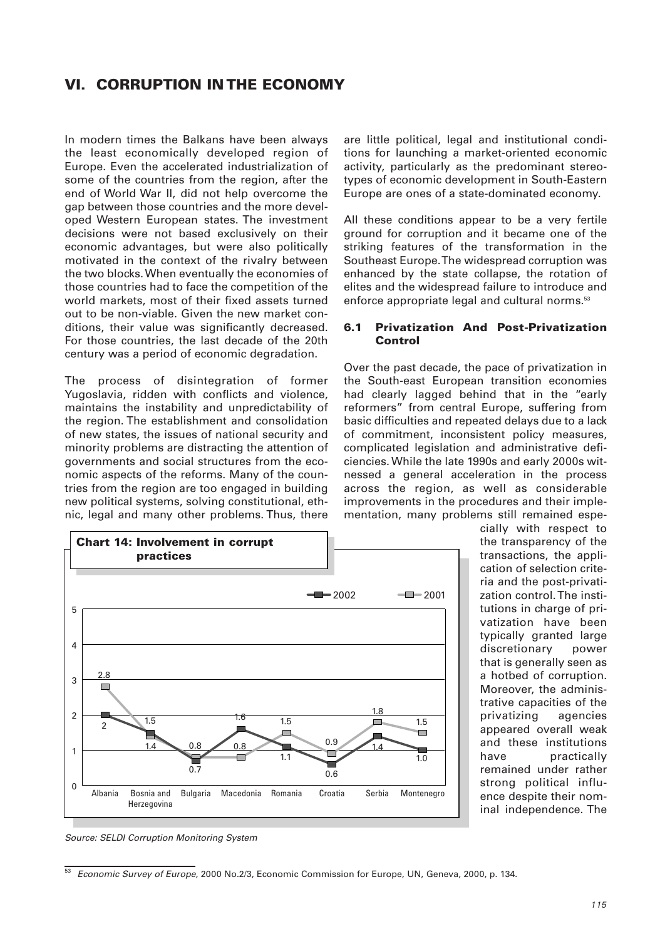# **VI. CORRUPTION IN THE ECONOMY**

In modern times the Balkans have been always the least economically developed region of Europe. Even the accelerated industrialization of some of the countries from the region, after the end of World War II, did not help overcome the gap between those countries and the more developed Western European states. The investment decisions were not based exclusively on their economic advantages, but were also politically motivated in the context of the rivalry between the two blocks. When eventually the economies of those countries had to face the competition of the world markets, most of their fixed assets turned out to be non-viable. Given the new market conditions, their value was significantly decreased. For those countries, the last decade of the 20th century was a period of economic degradation.

The process of disintegration of former Yugoslavia, ridden with conflicts and violence, maintains the instability and unpredictability of the region. The establishment and consolidation of new states, the issues of national security and minority problems are distracting the attention of governments and social structures from the economic aspects of the reforms. Many of the countries from the region are too engaged in building new political systems, solving constitutional, ethnic, legal and many other problems. Thus, there

are little political, legal and institutional conditions for launching a market-oriented economic activity, particularly as the predominant stereotypes of economic development in South-Eastern Europe are ones of a state-dominated economy.

All these conditions appear to be a very fertile ground for corruption and it became one of the striking features of the transformation in the Southeast Europe. The widespread corruption was enhanced by the state collapse, the rotation of elites and the widespread failure to introduce and enforce appropriate legal and cultural norms.<sup>53</sup>

#### **6.1 Privatization And Post-Privatization Control**

Over the past decade, the pace of privatization in the South-east European transition economies had clearly lagged behind that in the "early reformers" from central Europe, suffering from basic difficulties and repeated delays due to a lack of commitment, inconsistent policy measures, complicated legislation and administrative deficiencies. While the late 1990s and early 2000s witnessed a general acceleration in the process across the region, as well as considerable improvements in the procedures and their implementation, many problems still remained espe-



cially with respect to the transparency of the transactions, the application of selection criteria and the post-privatization control. The institutions in charge of privatization have been typically granted large discretionary power that is generally seen as a hotbed of corruption. Moreover, the administrative capacities of the privatizing agencies appeared overall weak and these institutions have practically remained under rather strong political influence despite their nominal independence. The

Source: SELDI Corruption Monitoring System

<sup>&</sup>lt;sup>53</sup> Economic Survey of Europe, 2000 No.2/3, Economic Commission for Europe, UN, Geneva, 2000, p. 134.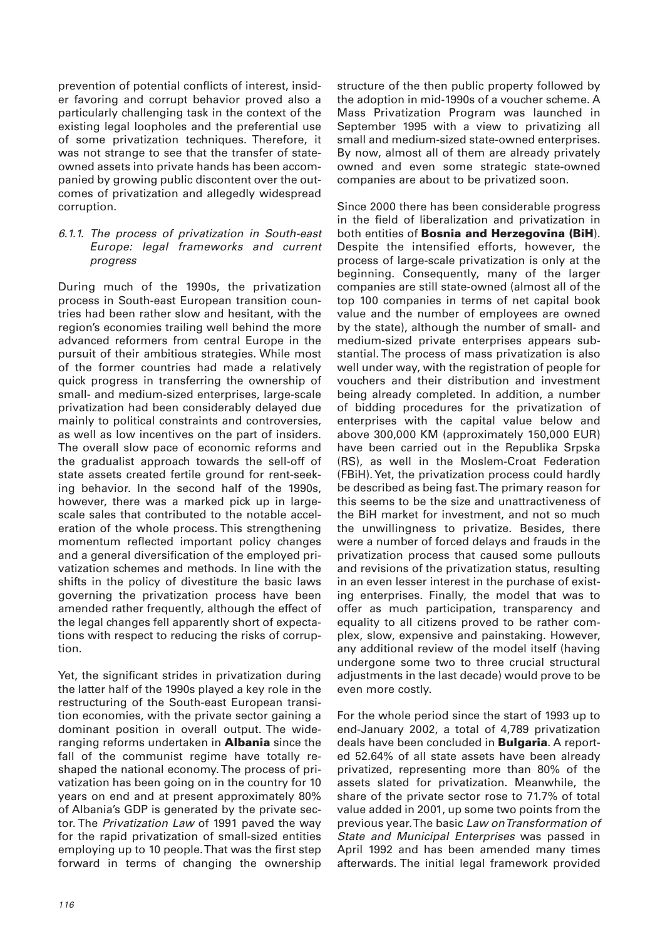prevention of potential conflicts of interest, insider favoring and corrupt behavior proved also a particularly challenging task in the context of the existing legal loopholes and the preferential use of some privatization techniques. Therefore, it was not strange to see that the transfer of stateowned assets into private hands has been accompanied by growing public discontent over the outcomes of privatization and allegedly widespread corruption.

6.1.1. The process of privatization in South-east Europe: legal frameworks and current progress

During much of the 1990s, the privatization process in South-east European transition countries had been rather slow and hesitant, with the region's economies trailing well behind the more advanced reformers from central Europe in the pursuit of their ambitious strategies. While most of the former countries had made a relatively quick progress in transferring the ownership of small- and medium-sized enterprises, large-scale privatization had been considerably delayed due mainly to political constraints and controversies, as well as low incentives on the part of insiders. The overall slow pace of economic reforms and the gradualist approach towards the sell-off of state assets created fertile ground for rent-seeking behavior. In the second half of the 1990s, however, there was a marked pick up in largescale sales that contributed to the notable acceleration of the whole process. This strengthening momentum reflected important policy changes and a general diversification of the employed privatization schemes and methods. In line with the shifts in the policy of divestiture the basic laws governing the privatization process have been amended rather frequently, although the effect of the legal changes fell apparently short of expectations with respect to reducing the risks of corruption.

Yet, the significant strides in privatization during the latter half of the 1990s played a key role in the restructuring of the South-east European transition economies, with the private sector gaining a dominant position in overall output. The wideranging reforms undertaken in **Albania** since the fall of the communist regime have totally reshaped the national economy. The process of privatization has been going on in the country for 10 years on end and at present approximately 80% of Albania's GDP is generated by the private sector. The Privatization Law of 1991 paved the way for the rapid privatization of small-sized entities employing up to 10 people. That was the first step forward in terms of changing the ownership structure of the then public property followed by the adoption in mid-1990s of a voucher scheme. A Mass Privatization Program was launched in September 1995 with a view to privatizing all small and medium-sized state-owned enterprises. By now, almost all of them are already privately owned and even some strategic state-owned companies are about to be privatized soon.

Since 2000 there has been considerable progress in the field of liberalization and privatization in both entities of **Bosnia and Herzegovina (BiH**). Despite the intensified efforts, however, the process of large-scale privatization is only at the beginning. Consequently, many of the larger companies are still state-owned (almost all of the top 100 companies in terms of net capital book value and the number of employees are owned by the state), although the number of small- and medium-sized private enterprises appears substantial. The process of mass privatization is also well under way, with the registration of people for vouchers and their distribution and investment being already completed. In addition, a number of bidding procedures for the privatization of enterprises with the capital value below and above 300,000 KM (approximately 150,000 EUR) have been carried out in the Republika Srpska (RS), as well in the Moslem-Croat Federation (FBiH). Yet, the privatization process could hardly be described as being fast. The primary reason for this seems to be the size and unattractiveness of the BiH market for investment, and not so much the unwillingness to privatize. Besides, there were a number of forced delays and frauds in the privatization process that caused some pullouts and revisions of the privatization status, resulting in an even lesser interest in the purchase of existing enterprises. Finally, the model that was to offer as much participation, transparency and equality to all citizens proved to be rather complex, slow, expensive and painstaking. However, any additional review of the model itself (having undergone some two to three crucial structural adjustments in the last decade) would prove to be even more costly.

For the whole period since the start of 1993 up to end-January 2002, a total of 4,789 privatization deals have been concluded in **Bulgaria**. A reported 52.64% of all state assets have been already privatized, representing more than 80% of the assets slated for privatization. Meanwhile, the share of the private sector rose to 71.7% of total value added in 2001, up some two points from the previous year. The basic Law on Transformation of State and Municipal Enterprises was passed in April 1992 and has been amended many times afterwards. The initial legal framework provided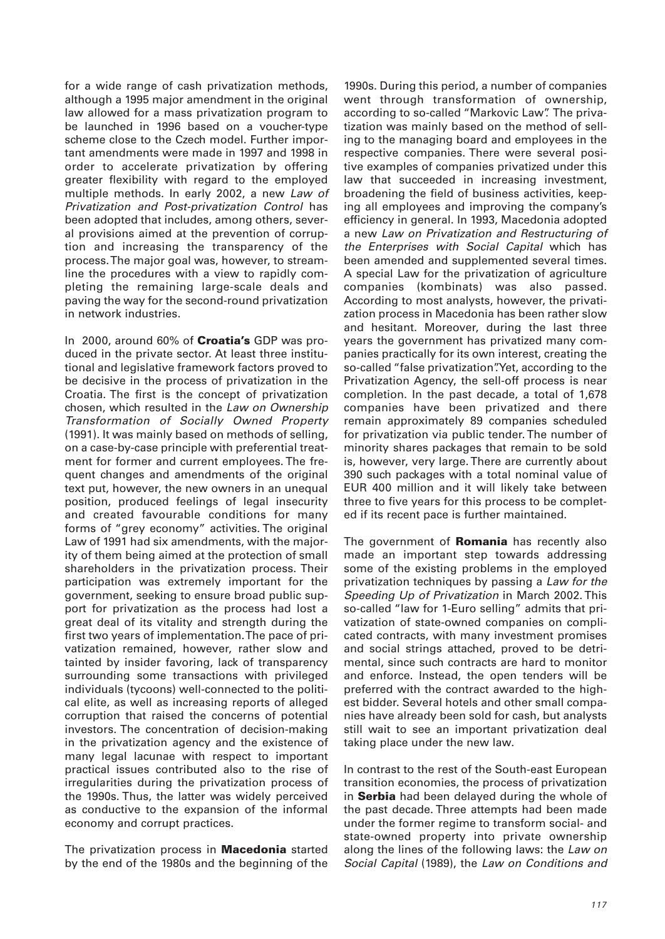for a wide range of cash privatization methods, although a 1995 major amendment in the original law allowed for a mass privatization program to be launched in 1996 based on a voucher-type scheme close to the Czech model. Further important amendments were made in 1997 and 1998 in order to accelerate privatization by offering greater flexibility with regard to the employed multiple methods. In early 2002, a new Law of Privatization and Post-privatization Control has been adopted that includes, among others, several provisions aimed at the prevention of corruption and increasing the transparency of the process. The major goal was, however, to streamline the procedures with a view to rapidly completing the remaining large-scale deals and paving the way for the second-round privatization in network industries.

In 2000, around 60% of **Croatia's** GDP was produced in the private sector. At least three institutional and legislative framework factors proved to be decisive in the process of privatization in the Croatia. The first is the concept of privatization chosen, which resulted in the Law on Ownership Transformation of Socially Owned Property (1991). It was mainly based on methods of selling, on a case-by-case principle with preferential treatment for former and current employees. The frequent changes and amendments of the original text put, however, the new owners in an unequal position, produced feelings of legal insecurity and created favourable conditions for many forms of "grey economy" activities. The original Law of 1991 had six amendments, with the majority of them being aimed at the protection of small shareholders in the privatization process. Their participation was extremely important for the government, seeking to ensure broad public support for privatization as the process had lost a great deal of its vitality and strength during the first two years of implementation. The pace of privatization remained, however, rather slow and tainted by insider favoring, lack of transparency surrounding some transactions with privileged individuals (tycoons) well-connected to the political elite, as well as increasing reports of alleged corruption that raised the concerns of potential investors. The concentration of decision-making in the privatization agency and the existence of many legal lacunae with respect to important practical issues contributed also to the rise of irregularities during the privatization process of the 1990s. Thus, the latter was widely perceived as conductive to the expansion of the informal economy and corrupt practices.

The privatization process in **Macedonia** started by the end of the 1980s and the beginning of the

1990s. During this period, a number of companies went through transformation of ownership, according to so-called "Markovic Law". The privatization was mainly based on the method of selling to the managing board and employees in the respective companies. There were several positive examples of companies privatized under this law that succeeded in increasing investment, broadening the field of business activities, keeping all employees and improving the company's efficiency in general. In 1993, Macedonia adopted a new Law on Privatization and Restructuring of the Enterprises with Social Capital which has been amended and supplemented several times. A special Law for the privatization of agriculture companies (kombinats) was also passed. According to most analysts, however, the privatization process in Macedonia has been rather slow and hesitant. Moreover, during the last three years the government has privatized many companies practically for its own interest, creating the so-called "false privatization". Yet, according to the Privatization Agency, the sell-off process is near completion. In the past decade, a total of 1,678 companies have been privatized and there remain approximately 89 companies scheduled for privatization via public tender. The number of minority shares packages that remain to be sold is, however, very large. There are currently about 390 such packages with a total nominal value of EUR 400 million and it will likely take between three to five years for this process to be completed if its recent pace is further maintained.

The government of **Romania** has recently also made an important step towards addressing some of the existing problems in the employed privatization techniques by passing a Law for the Speeding Up of Privatization in March 2002. This so-called "law for 1-Euro selling" admits that privatization of state-owned companies on complicated contracts, with many investment promises and social strings attached, proved to be detrimental, since such contracts are hard to monitor and enforce. Instead, the open tenders will be preferred with the contract awarded to the highest bidder. Several hotels and other small companies have already been sold for cash, but analysts still wait to see an important privatization deal taking place under the new law.

In contrast to the rest of the South-east European transition economies, the process of privatization in **Serbia** had been delayed during the whole of the past decade. Three attempts had been made under the former regime to transform social- and state-owned property into private ownership along the lines of the following laws: the Law on Social Capital (1989), the Law on Conditions and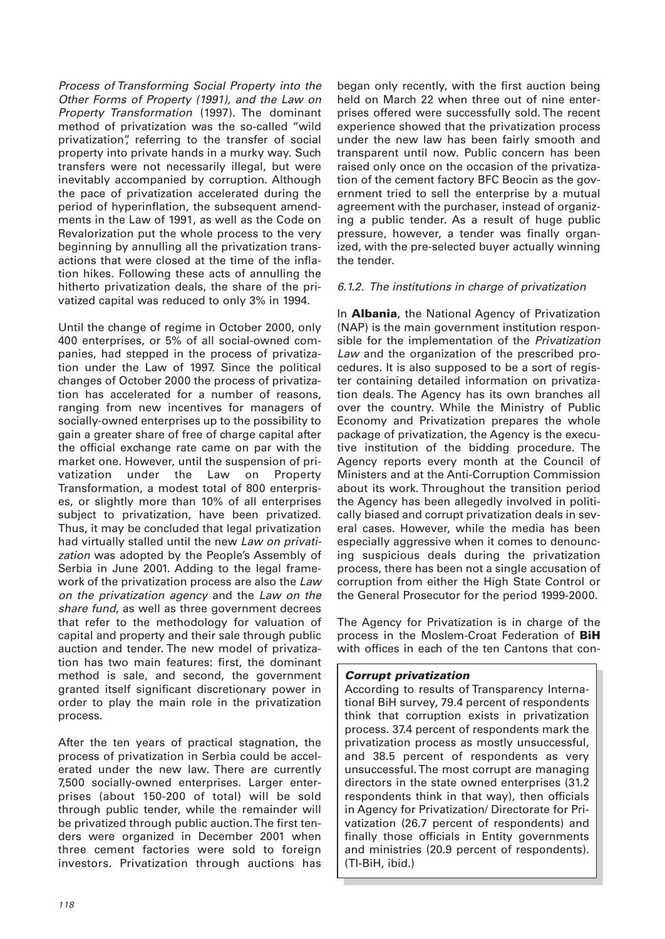Process of Transforming Social Property into the Other Forms of Property (1991), and the Law on Property Transformation (1997). The dominant method of privatization was the so-called "wild privatization", referring to the transfer of social property into private hands in a murky way. Such transfers were not necessarily illegal, but were inevitably accompanied by corruption. Although the pace of privatization accelerated during the period of hyperinflation, the subsequent amendments in the Law of 1991, as well as the Code on Revalorization put the whole process to the very beginning by annulling all the privatization transactions that were closed at the time of the inflation hikes. Following these acts of annulling the hitherto privatization deals, the share of the privatized capital was reduced to only 3% in 1994.

Until the change of regime in October 2000, only 400 enterprises, or 5% of all social-owned companies, had stepped in the process of privatization under the Law of 1997. Since the political changes of October 2000 the process of privatization has accelerated for a number of reasons, ranging from new incentives for managers of socially-owned enterprises up to the possibility to gain a greater share of free of charge capital after the official exchange rate came on par with the market one. However, until the suspension of privatization under the Law on Property Transformation, a modest total of 800 enterprises, or slightly more than 10% of all enterprises subject to privatization, have been privatized. Thus, it may be concluded that legal privatization had virtually stalled until the new Law on privatization was adopted by the People's Assembly of Serbia in June 2001. Adding to the legal framework of the privatization process are also the Law on the privatization agency and the Law on the share fund, as well as three government decrees that refer to the methodology for valuation of capital and property and their sale through public auction and tender. The new model of privatization has two main features: first, the dominant method is sale, and second, the government granted itself significant discretionary power in order to play the main role in the privatization process.

After the ten years of practical stagnation, the process of privatization in Serbia could be accelerated under the new law. There are currently 7,500 socially-owned enterprises. Larger enterprises (about 150-200 of total) will be sold through public tender, while the remainder will be privatized through public auction. The first tenders were organized in December 2001 when three cement factories were sold to foreign investors. Privatization through auctions has began only recently, with the first auction being held on March 22 when three out of nine enterprises offered were successfully sold. The recent experience showed that the privatization process under the new law has been fairly smooth and transparent until now. Public concern has been raised only once on the occasion of the privatization of the cement factory BFC Beocin as the government tried to sell the enterprise by a mutual agreement with the purchaser, instead of organizing a public tender. As a result of huge public pressure, however, a tender was finally organized, with the pre-selected buyer actually winning the tender.

## 6.1.2. The institutions in charge of privatization

In **Albania**, the National Agency of Privatization (NAP) is the main government institution responsible for the implementation of the Privatization Law and the organization of the prescribed procedures. It is also supposed to be a sort of register containing detailed information on privatization deals. The Agency has its own branches all over the country. While the Ministry of Public Economy and Privatization prepares the whole package of privatization, the Agency is the executive institution of the bidding procedure. The Agency reports every month at the Council of Ministers and at the Anti-Corruption Commission about its work. Throughout the transition period the Agency has been allegedly involved in politically biased and corrupt privatization deals in several cases. However, while the media has been especially aggressive when it comes to denouncing suspicious deals during the privatization process, there has been not a single accusation of corruption from either the High State Control or the General Prosecutor for the period 1999-2000.

The Agency for Privatization is in charge of the process in the Moslem-Croat Federation of **BiH** with offices in each of the ten Cantons that con-

## *Corrupt privatization*

According to results of Transparency International BiH survey, 79.4 percent of respondents think that corruption exists in privatization process. 37.4 percent of respondents mark the privatization process as mostly unsuccessful, and 38.5 percent of respondents as very unsuccessful. The most corrupt are managing directors in the state owned enterprises (31.2 respondents think in that way), then officials in Agency for Privatization/ Directorate for Privatization (26.7 percent of respondents) and finally those officials in Entity governments and ministries (20.9 percent of respondents). (TI-BiH, ibid.)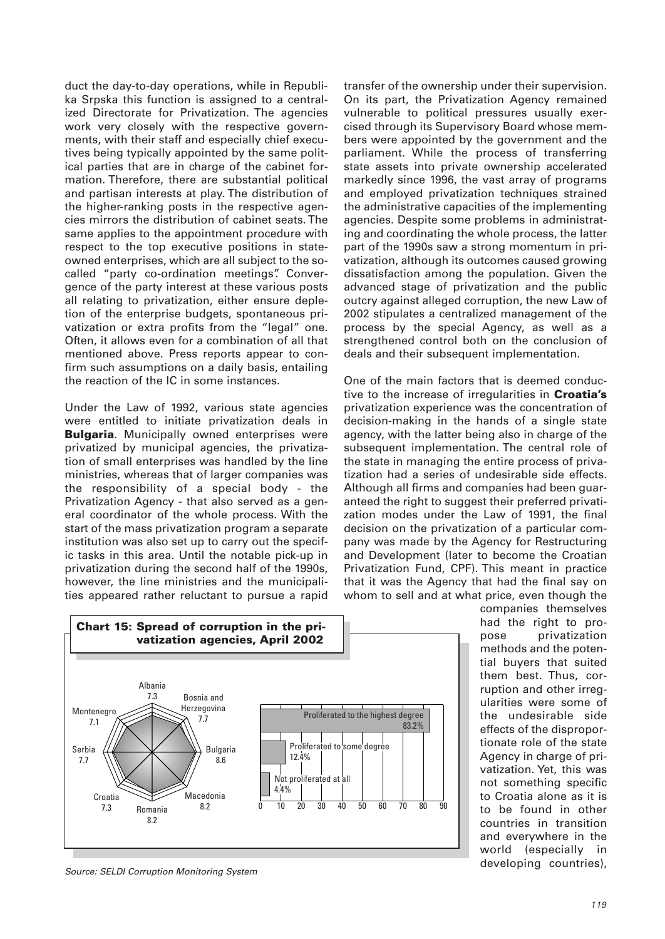duct the day-to-day operations, while in Republika Srpska this function is assigned to a centralized Directorate for Privatization. The agencies work very closely with the respective governments, with their staff and especially chief executives being typically appointed by the same political parties that are in charge of the cabinet formation. Therefore, there are substantial political and partisan interests at play. The distribution of the higher-ranking posts in the respective agencies mirrors the distribution of cabinet seats. The same applies to the appointment procedure with respect to the top executive positions in stateowned enterprises, which are all subject to the socalled "party co-ordination meetings". Convergence of the party interest at these various posts all relating to privatization, either ensure depletion of the enterprise budgets, spontaneous privatization or extra profits from the "legal" one. Often, it allows even for a combination of all that mentioned above. Press reports appear to confirm such assumptions on a daily basis, entailing the reaction of the IC in some instances.

Under the Law of 1992, various state agencies were entitled to initiate privatization deals in **Bulgaria**. Municipally owned enterprises were privatized by municipal agencies, the privatization of small enterprises was handled by the line ministries, whereas that of larger companies was the responsibility of a special body - the Privatization Agency - that also served as a general coordinator of the whole process. With the start of the mass privatization program a separate institution was also set up to carry out the specific tasks in this area. Until the notable pick-up in privatization during the second half of the 1990s, however, the line ministries and the municipalities appeared rather reluctant to pursue a rapid

transfer of the ownership under their supervision. On its part, the Privatization Agency remained vulnerable to political pressures usually exercised through its Supervisory Board whose members were appointed by the government and the parliament. While the process of transferring state assets into private ownership accelerated markedly since 1996, the vast array of programs and employed privatization techniques strained the administrative capacities of the implementing agencies. Despite some problems in administrating and coordinating the whole process, the latter part of the 1990s saw a strong momentum in privatization, although its outcomes caused growing dissatisfaction among the population. Given the advanced stage of privatization and the public outcry against alleged corruption, the new Law of 2002 stipulates a centralized management of the process by the special Agency, as well as a strengthened control both on the conclusion of deals and their subsequent implementation.

One of the main factors that is deemed conductive to the increase of irregularities in **Croatia's** privatization experience was the concentration of decision-making in the hands of a single state agency, with the latter being also in charge of the subsequent implementation. The central role of the state in managing the entire process of privatization had a series of undesirable side effects. Although all firms and companies had been guaranteed the right to suggest their preferred privatization modes under the Law of 1991, the final decision on the privatization of a particular company was made by the Agency for Restructuring and Development (later to become the Croatian Privatization Fund, CPF). This meant in practice that it was the Agency that had the final say on whom to sell and at what price, even though the



companies themselves had the right to propose privatization methods and the potential buyers that suited them best. Thus, corruption and other irregularities were some of the undesirable side effects of the disproportionate role of the state Agency in charge of privatization. Yet, this was not something specific to Croatia alone as it is to be found in other countries in transition and everywhere in the world (especially in developing countries),

Source: SELDI Corruption Monitoring System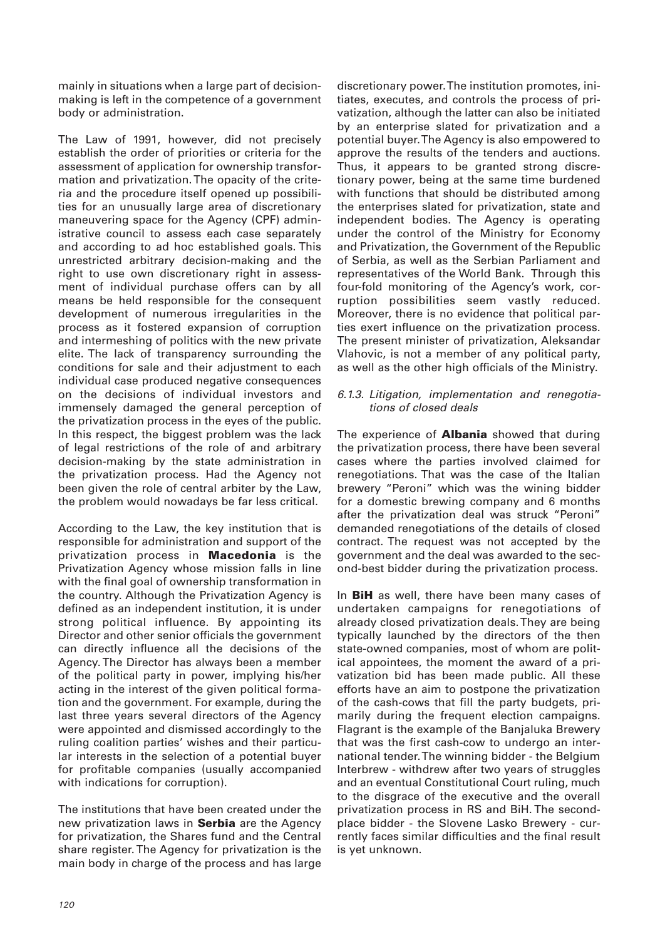mainly in situations when a large part of decisionmaking is left in the competence of a government body or administration.

The Law of 1991, however, did not precisely establish the order of priorities or criteria for the assessment of application for ownership transformation and privatization. The opacity of the criteria and the procedure itself opened up possibilities for an unusually large area of discretionary maneuvering space for the Agency (CPF) administrative council to assess each case separately and according to ad hoc established goals. This unrestricted arbitrary decision-making and the right to use own discretionary right in assessment of individual purchase offers can by all means be held responsible for the consequent development of numerous irregularities in the process as it fostered expansion of corruption and intermeshing of politics with the new private elite. The lack of transparency surrounding the conditions for sale and their adjustment to each individual case produced negative consequences on the decisions of individual investors and immensely damaged the general perception of the privatization process in the eyes of the public. In this respect, the biggest problem was the lack of legal restrictions of the role of and arbitrary decision-making by the state administration in the privatization process. Had the Agency not been given the role of central arbiter by the Law, the problem would nowadays be far less critical.

According to the Law, the key institution that is responsible for administration and support of the privatization process in **Macedonia** is the Privatization Agency whose mission falls in line with the final goal of ownership transformation in the country. Although the Privatization Agency is defined as an independent institution, it is under strong political influence. By appointing its Director and other senior officials the government can directly influence all the decisions of the Agency. The Director has always been a member of the political party in power, implying his/her acting in the interest of the given political formation and the government. For example, during the last three years several directors of the Agency were appointed and dismissed accordingly to the ruling coalition parties' wishes and their particular interests in the selection of a potential buyer for profitable companies (usually accompanied with indications for corruption).

The institutions that have been created under the new privatization laws in **Serbia** are the Agency for privatization, the Shares fund and the Central share register. The Agency for privatization is the main body in charge of the process and has large

discretionary power. The institution promotes, initiates, executes, and controls the process of privatization, although the latter can also be initiated by an enterprise slated for privatization and a potential buyer. The Agency is also empowered to approve the results of the tenders and auctions. Thus, it appears to be granted strong discretionary power, being at the same time burdened with functions that should be distributed among the enterprises slated for privatization, state and independent bodies. The Agency is operating under the control of the Ministry for Economy and Privatization, the Government of the Republic of Serbia, as well as the Serbian Parliament and representatives of the World Bank. Through this four-fold monitoring of the Agency's work, corruption possibilities seem vastly reduced. Moreover, there is no evidence that political parties exert influence on the privatization process. The present minister of privatization, Aleksandar Vlahovic, is not a member of any political party, as well as the other high officials of the Ministry.

#### 6.1.3. Litigation, implementation and renegotiations of closed deals

The experience of **Albania** showed that during the privatization process, there have been several cases where the parties involved claimed for renegotiations. That was the case of the Italian brewery "Peroni" which was the wining bidder for a domestic brewing company and 6 months after the privatization deal was struck "Peroni" demanded renegotiations of the details of closed contract. The request was not accepted by the government and the deal was awarded to the second-best bidder during the privatization process.

In **BiH** as well, there have been many cases of undertaken campaigns for renegotiations of already closed privatization deals. They are being typically launched by the directors of the then state-owned companies, most of whom are political appointees, the moment the award of a privatization bid has been made public. All these efforts have an aim to postpone the privatization of the cash-cows that fill the party budgets, primarily during the frequent election campaigns. Flagrant is the example of the Banjaluka Brewery that was the first cash-cow to undergo an international tender. The winning bidder - the Belgium Interbrew - withdrew after two years of struggles and an eventual Constitutional Court ruling, much to the disgrace of the executive and the overall privatization process in RS and BiH. The secondplace bidder - the Slovene Lasko Brewery - currently faces similar difficulties and the final result is yet unknown.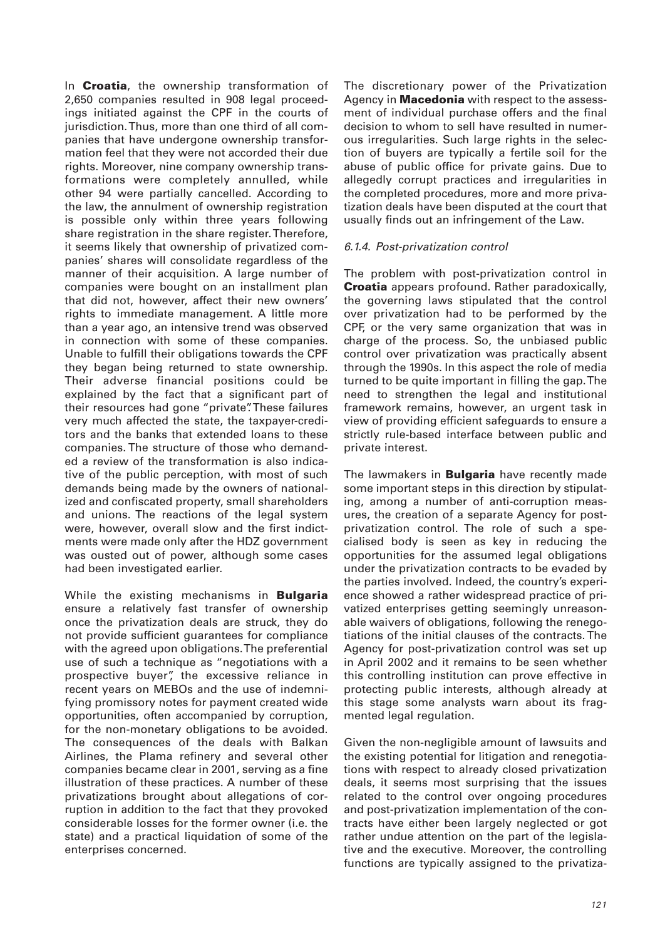In **Croatia**, the ownership transformation of 2,650 companies resulted in 908 legal proceedings initiated against the CPF in the courts of jurisdiction. Thus, more than one third of all companies that have undergone ownership transformation feel that they were not accorded their due rights. Moreover, nine company ownership transformations were completely annulled, while other 94 were partially cancelled. According to the law, the annulment of ownership registration is possible only within three years following share registration in the share register. Therefore, it seems likely that ownership of privatized companies' shares will consolidate regardless of the manner of their acquisition. A large number of companies were bought on an installment plan that did not, however, affect their new owners' rights to immediate management. A little more than a year ago, an intensive trend was observed in connection with some of these companies. Unable to fulfill their obligations towards the CPF they began being returned to state ownership. Their adverse financial positions could be explained by the fact that a significant part of their resources had gone "private". These failures very much affected the state, the taxpayer-creditors and the banks that extended loans to these companies. The structure of those who demanded a review of the transformation is also indicative of the public perception, with most of such demands being made by the owners of nationalized and confiscated property, small shareholders and unions. The reactions of the legal system were, however, overall slow and the first indictments were made only after the HDZ government was ousted out of power, although some cases had been investigated earlier.

While the existing mechanisms in **Bulgaria** ensure a relatively fast transfer of ownership once the privatization deals are struck, they do not provide sufficient guarantees for compliance with the agreed upon obligations. The preferential use of such a technique as "negotiations with a prospective buyer", the excessive reliance in recent years on MEBOs and the use of indemnifying promissory notes for payment created wide opportunities, often accompanied by corruption, for the non-monetary obligations to be avoided. The consequences of the deals with Balkan Airlines, the Plama refinery and several other companies became clear in 2001, serving as a fine illustration of these practices. A number of these privatizations brought about allegations of corruption in addition to the fact that they provoked considerable losses for the former owner (i.e. the state) and a practical liquidation of some of the enterprises concerned.

The discretionary power of the Privatization Agency in **Macedonia** with respect to the assessment of individual purchase offers and the final decision to whom to sell have resulted in numerous irregularities. Such large rights in the selection of buyers are typically a fertile soil for the abuse of public office for private gains. Due to allegedly corrupt practices and irregularities in the completed procedures, more and more privatization deals have been disputed at the court that usually finds out an infringement of the Law.

#### 6.1.4. Post-privatization control

The problem with post-privatization control in **Croatia** appears profound. Rather paradoxically, the governing laws stipulated that the control over privatization had to be performed by the CPF, or the very same organization that was in charge of the process. So, the unbiased public control over privatization was practically absent through the 1990s. In this aspect the role of media turned to be quite important in filling the gap. The need to strengthen the legal and institutional framework remains, however, an urgent task in view of providing efficient safeguards to ensure a strictly rule-based interface between public and private interest.

The lawmakers in **Bulgaria** have recently made some important steps in this direction by stipulating, among a number of anti-corruption measures, the creation of a separate Agency for postprivatization control. The role of such a specialised body is seen as key in reducing the opportunities for the assumed legal obligations under the privatization contracts to be evaded by the parties involved. Indeed, the country's experience showed a rather widespread practice of privatized enterprises getting seemingly unreasonable waivers of obligations, following the renegotiations of the initial clauses of the contracts. The Agency for post-privatization control was set up in April 2002 and it remains to be seen whether this controlling institution can prove effective in protecting public interests, although already at this stage some analysts warn about its fragmented legal regulation.

Given the non-negligible amount of lawsuits and the existing potential for litigation and renegotiations with respect to already closed privatization deals, it seems most surprising that the issues related to the control over ongoing procedures and post-privatization implementation of the contracts have either been largely neglected or got rather undue attention on the part of the legislative and the executive. Moreover, the controlling functions are typically assigned to the privatiza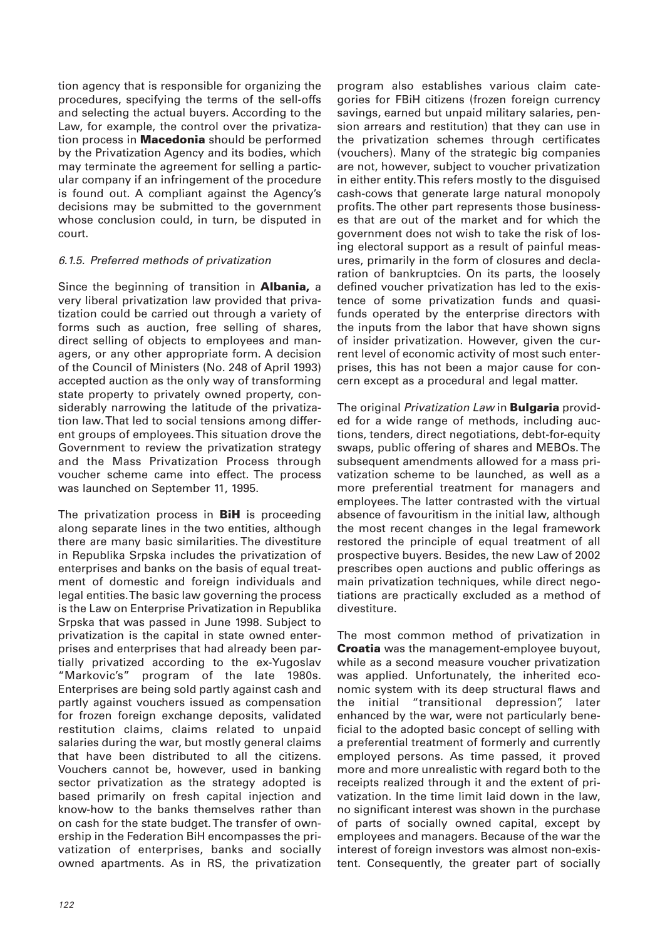tion agency that is responsible for organizing the procedures, specifying the terms of the sell-offs and selecting the actual buyers. According to the Law, for example, the control over the privatization process in **Macedonia** should be performed by the Privatization Agency and its bodies, which may terminate the agreement for selling a particular company if an infringement of the procedure is found out. A compliant against the Agency's decisions may be submitted to the government whose conclusion could, in turn, be disputed in court.

## 6.1.5. Preferred methods of privatization

Since the beginning of transition in **Albania,** a very liberal privatization law provided that privatization could be carried out through a variety of forms such as auction, free selling of shares, direct selling of objects to employees and managers, or any other appropriate form. A decision of the Council of Ministers (No. 248 of April 1993) accepted auction as the only way of transforming state property to privately owned property, considerably narrowing the latitude of the privatization law. That led to social tensions among different groups of employees. This situation drove the Government to review the privatization strategy and the Mass Privatization Process through voucher scheme came into effect. The process was launched on September 11, 1995.

The privatization process in **BiH** is proceeding along separate lines in the two entities, although there are many basic similarities. The divestiture in Republika Srpska includes the privatization of enterprises and banks on the basis of equal treatment of domestic and foreign individuals and legal entities. The basic law governing the process is the Law on Enterprise Privatization in Republika Srpska that was passed in June 1998. Subject to privatization is the capital in state owned enterprises and enterprises that had already been partially privatized according to the ex-Yugoslav "Markovic's" program of the late 1980s. Enterprises are being sold partly against cash and partly against vouchers issued as compensation for frozen foreign exchange deposits, validated restitution claims, claims related to unpaid salaries during the war, but mostly general claims that have been distributed to all the citizens. Vouchers cannot be, however, used in banking sector privatization as the strategy adopted is based primarily on fresh capital injection and know-how to the banks themselves rather than on cash for the state budget. The transfer of ownership in the Federation BiH encompasses the privatization of enterprises, banks and socially owned apartments. As in RS, the privatization

program also establishes various claim categories for FBiH citizens (frozen foreign currency savings, earned but unpaid military salaries, pension arrears and restitution) that they can use in the privatization schemes through certificates (vouchers). Many of the strategic big companies are not, however, subject to voucher privatization in either entity. This refers mostly to the disguised cash-cows that generate large natural monopoly profits. The other part represents those businesses that are out of the market and for which the government does not wish to take the risk of losing electoral support as a result of painful measures, primarily in the form of closures and declaration of bankruptcies. On its parts, the loosely defined voucher privatization has led to the existence of some privatization funds and quasifunds operated by the enterprise directors with the inputs from the labor that have shown signs of insider privatization. However, given the current level of economic activity of most such enterprises, this has not been a major cause for concern except as a procedural and legal matter.

The original Privatization Law in **Bulgaria** provided for a wide range of methods, including auctions, tenders, direct negotiations, debt-for-equity swaps, public offering of shares and MEBOs. The subsequent amendments allowed for a mass privatization scheme to be launched, as well as a more preferential treatment for managers and employees. The latter contrasted with the virtual absence of favouritism in the initial law, although the most recent changes in the legal framework restored the principle of equal treatment of all prospective buyers. Besides, the new Law of 2002 prescribes open auctions and public offerings as main privatization techniques, while direct negotiations are practically excluded as a method of divestiture.

The most common method of privatization in **Croatia** was the management-employee buyout, while as a second measure voucher privatization was applied. Unfortunately, the inherited economic system with its deep structural flaws and the initial "transitional depression", later enhanced by the war, were not particularly beneficial to the adopted basic concept of selling with a preferential treatment of formerly and currently employed persons. As time passed, it proved more and more unrealistic with regard both to the receipts realized through it and the extent of privatization. In the time limit laid down in the law, no significant interest was shown in the purchase of parts of socially owned capital, except by employees and managers. Because of the war the interest of foreign investors was almost non-existent. Consequently, the greater part of socially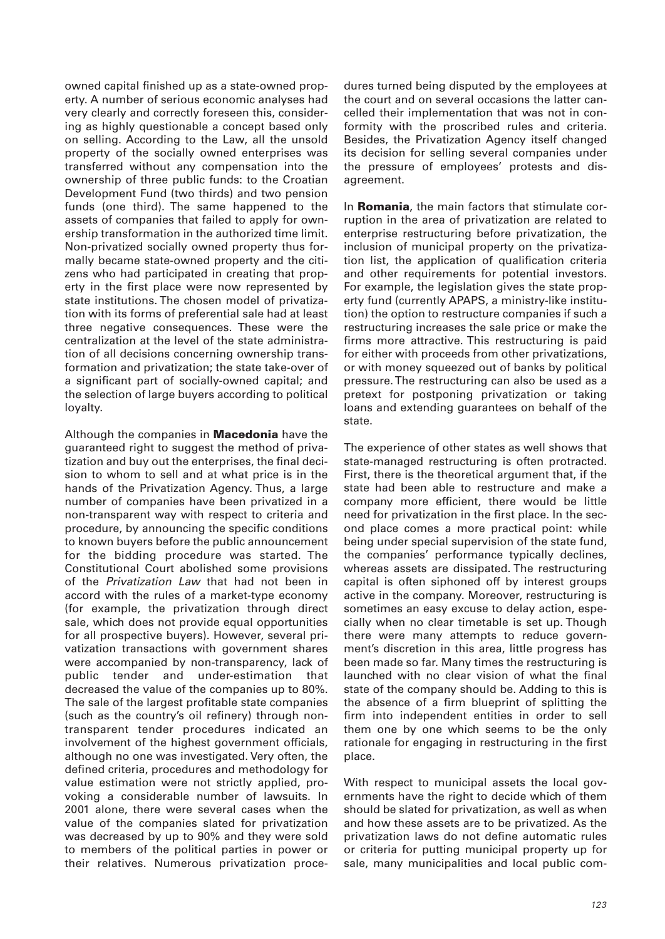owned capital finished up as a state-owned property. A number of serious economic analyses had very clearly and correctly foreseen this, considering as highly questionable a concept based only on selling. According to the Law, all the unsold property of the socially owned enterprises was transferred without any compensation into the ownership of three public funds: to the Croatian Development Fund (two thirds) and two pension funds (one third). The same happened to the assets of companies that failed to apply for ownership transformation in the authorized time limit. Non-privatized socially owned property thus formally became state-owned property and the citizens who had participated in creating that property in the first place were now represented by state institutions. The chosen model of privatization with its forms of preferential sale had at least three negative consequences. These were the centralization at the level of the state administration of all decisions concerning ownership transformation and privatization; the state take-over of a significant part of socially-owned capital; and the selection of large buyers according to political loyalty.

Although the companies in **Macedonia** have the guaranteed right to suggest the method of privatization and buy out the enterprises, the final decision to whom to sell and at what price is in the hands of the Privatization Agency. Thus, a large number of companies have been privatized in a non-transparent way with respect to criteria and procedure, by announcing the specific conditions to known buyers before the public announcement for the bidding procedure was started. The Constitutional Court abolished some provisions of the Privatization Law that had not been in accord with the rules of a market-type economy (for example, the privatization through direct sale, which does not provide equal opportunities for all prospective buyers). However, several privatization transactions with government shares were accompanied by non-transparency, lack of public tender and under-estimation that decreased the value of the companies up to 80%. The sale of the largest profitable state companies (such as the country's oil refinery) through nontransparent tender procedures indicated an involvement of the highest government officials, although no one was investigated. Very often, the defined criteria, procedures and methodology for value estimation were not strictly applied, provoking a considerable number of lawsuits. In 2001 alone, there were several cases when the value of the companies slated for privatization was decreased by up to 90% and they were sold to members of the political parties in power or their relatives. Numerous privatization procedures turned being disputed by the employees at the court and on several occasions the latter cancelled their implementation that was not in conformity with the proscribed rules and criteria. Besides, the Privatization Agency itself changed its decision for selling several companies under the pressure of employees' protests and disagreement.

In **Romania**, the main factors that stimulate corruption in the area of privatization are related to enterprise restructuring before privatization, the inclusion of municipal property on the privatization list, the application of qualification criteria and other requirements for potential investors. For example, the legislation gives the state property fund (currently APAPS, a ministry-like institution) the option to restructure companies if such a restructuring increases the sale price or make the firms more attractive. This restructuring is paid for either with proceeds from other privatizations, or with money squeezed out of banks by political pressure. The restructuring can also be used as a pretext for postponing privatization or taking loans and extending guarantees on behalf of the state.

The experience of other states as well shows that state-managed restructuring is often protracted. First, there is the theoretical argument that, if the state had been able to restructure and make a company more efficient, there would be little need for privatization in the first place. In the second place comes a more practical point: while being under special supervision of the state fund, the companies' performance typically declines, whereas assets are dissipated. The restructuring capital is often siphoned off by interest groups active in the company. Moreover, restructuring is sometimes an easy excuse to delay action, especially when no clear timetable is set up. Though there were many attempts to reduce government's discretion in this area, little progress has been made so far. Many times the restructuring is launched with no clear vision of what the final state of the company should be. Adding to this is the absence of a firm blueprint of splitting the firm into independent entities in order to sell them one by one which seems to be the only rationale for engaging in restructuring in the first place.

With respect to municipal assets the local governments have the right to decide which of them should be slated for privatization, as well as when and how these assets are to be privatized. As the privatization laws do not define automatic rules or criteria for putting municipal property up for sale, many municipalities and local public com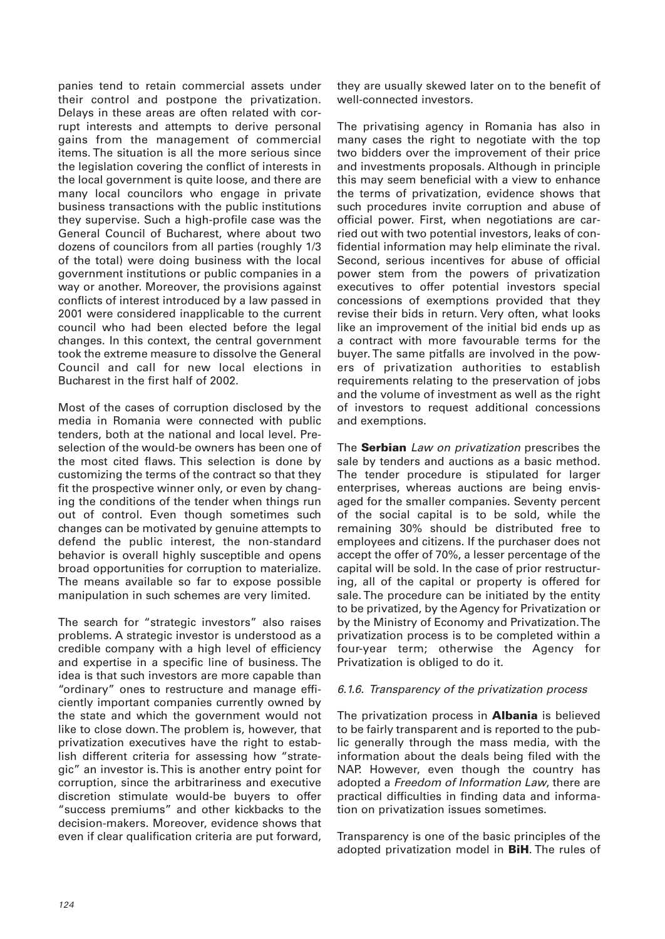panies tend to retain commercial assets under their control and postpone the privatization. Delays in these areas are often related with corrupt interests and attempts to derive personal gains from the management of commercial items. The situation is all the more serious since the legislation covering the conflict of interests in the local government is quite loose, and there are many local councilors who engage in private business transactions with the public institutions they supervise. Such a high-profile case was the General Council of Bucharest, where about two dozens of councilors from all parties (roughly 1/3 of the total) were doing business with the local government institutions or public companies in a way or another. Moreover, the provisions against conflicts of interest introduced by a law passed in 2001 were considered inapplicable to the current council who had been elected before the legal changes. In this context, the central government took the extreme measure to dissolve the General Council and call for new local elections in Bucharest in the first half of 2002.

Most of the cases of corruption disclosed by the media in Romania were connected with public tenders, both at the national and local level. Preselection of the would-be owners has been one of the most cited flaws. This selection is done by customizing the terms of the contract so that they fit the prospective winner only, or even by changing the conditions of the tender when things run out of control. Even though sometimes such changes can be motivated by genuine attempts to defend the public interest, the non-standard behavior is overall highly susceptible and opens broad opportunities for corruption to materialize. The means available so far to expose possible manipulation in such schemes are very limited.

The search for "strategic investors" also raises problems. A strategic investor is understood as a credible company with a high level of efficiency and expertise in a specific line of business. The idea is that such investors are more capable than "ordinary" ones to restructure and manage efficiently important companies currently owned by the state and which the government would not like to close down. The problem is, however, that privatization executives have the right to establish different criteria for assessing how "strategic" an investor is. This is another entry point for corruption, since the arbitrariness and executive discretion stimulate would-be buyers to offer "success premiums" and other kickbacks to the decision-makers. Moreover, evidence shows that even if clear qualification criteria are put forward,

they are usually skewed later on to the benefit of well-connected investors.

The privatising agency in Romania has also in many cases the right to negotiate with the top two bidders over the improvement of their price and investments proposals. Although in principle this may seem beneficial with a view to enhance the terms of privatization, evidence shows that such procedures invite corruption and abuse of official power. First, when negotiations are carried out with two potential investors, leaks of confidential information may help eliminate the rival. Second, serious incentives for abuse of official power stem from the powers of privatization executives to offer potential investors special concessions of exemptions provided that they revise their bids in return. Very often, what looks like an improvement of the initial bid ends up as a contract with more favourable terms for the buyer. The same pitfalls are involved in the powers of privatization authorities to establish requirements relating to the preservation of jobs and the volume of investment as well as the right of investors to request additional concessions and exemptions.

The **Serbian** Law on privatization prescribes the sale by tenders and auctions as a basic method. The tender procedure is stipulated for larger enterprises, whereas auctions are being envisaged for the smaller companies. Seventy percent of the social capital is to be sold, while the remaining 30% should be distributed free to employees and citizens. If the purchaser does not accept the offer of 70%, a lesser percentage of the capital will be sold. In the case of prior restructuring, all of the capital or property is offered for sale. The procedure can be initiated by the entity to be privatized, by the Agency for Privatization or by the Ministry of Economy and Privatization. The privatization process is to be completed within a four-year term; otherwise the Agency for Privatization is obliged to do it.

## 6.1.6. Transparency of the privatization process

The privatization process in **Albania** is believed to be fairly transparent and is reported to the public generally through the mass media, with the information about the deals being filed with the NAP. However, even though the country has adopted a Freedom of Information Law, there are practical difficulties in finding data and information on privatization issues sometimes.

Transparency is one of the basic principles of the adopted privatization model in **BiH**. The rules of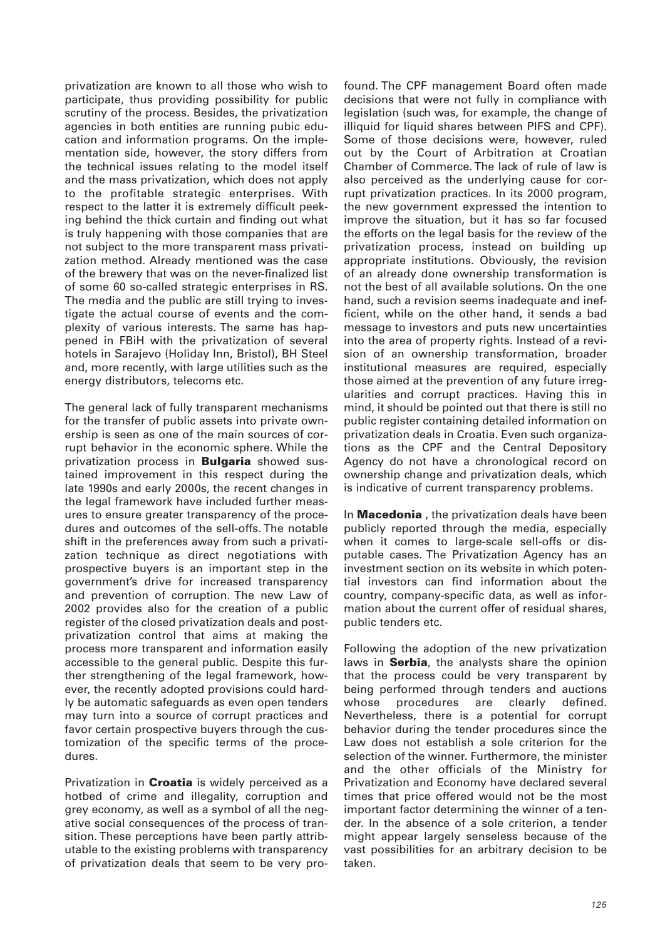privatization are known to all those who wish to participate, thus providing possibility for public scrutiny of the process. Besides, the privatization agencies in both entities are running pubic education and information programs. On the implementation side, however, the story differs from the technical issues relating to the model itself and the mass privatization, which does not apply to the profitable strategic enterprises. With respect to the latter it is extremely difficult peeking behind the thick curtain and finding out what is truly happening with those companies that are not subject to the more transparent mass privatization method. Already mentioned was the case of the brewery that was on the never-finalized list of some 60 so-called strategic enterprises in RS. The media and the public are still trying to investigate the actual course of events and the complexity of various interests. The same has happened in FBiH with the privatization of several hotels in Sarajevo (Holiday Inn, Bristol), BH Steel and, more recently, with large utilities such as the energy distributors, telecoms etc.

The general lack of fully transparent mechanisms for the transfer of public assets into private ownership is seen as one of the main sources of corrupt behavior in the economic sphere. While the privatization process in **Bulgaria** showed sustained improvement in this respect during the late 1990s and early 2000s, the recent changes in the legal framework have included further measures to ensure greater transparency of the procedures and outcomes of the sell-offs. The notable shift in the preferences away from such a privatization technique as direct negotiations with prospective buyers is an important step in the government's drive for increased transparency and prevention of corruption. The new Law of 2002 provides also for the creation of a public register of the closed privatization deals and postprivatization control that aims at making the process more transparent and information easily accessible to the general public. Despite this further strengthening of the legal framework, however, the recently adopted provisions could hardly be automatic safeguards as even open tenders may turn into a source of corrupt practices and favor certain prospective buyers through the customization of the specific terms of the procedures.

Privatization in **Croatia** is widely perceived as a hotbed of crime and illegality, corruption and grey economy, as well as a symbol of all the negative social consequences of the process of transition. These perceptions have been partly attributable to the existing problems with transparency of privatization deals that seem to be very profound. The CPF management Board often made decisions that were not fully in compliance with legislation (such was, for example, the change of illiquid for liquid shares between PIFS and CPF). Some of those decisions were, however, ruled out by the Court of Arbitration at Croatian Chamber of Commerce. The lack of rule of law is also perceived as the underlying cause for corrupt privatization practices. In its 2000 program, the new government expressed the intention to improve the situation, but it has so far focused the efforts on the legal basis for the review of the privatization process, instead on building up appropriate institutions. Obviously, the revision of an already done ownership transformation is not the best of all available solutions. On the one hand, such a revision seems inadequate and inefficient, while on the other hand, it sends a bad message to investors and puts new uncertainties into the area of property rights. Instead of a revision of an ownership transformation, broader institutional measures are required, especially those aimed at the prevention of any future irregularities and corrupt practices. Having this in mind, it should be pointed out that there is still no public register containing detailed information on privatization deals in Croatia. Even such organizations as the CPF and the Central Depository Agency do not have a chronological record on ownership change and privatization deals, which is indicative of current transparency problems.

In **Macedonia** , the privatization deals have been publicly reported through the media, especially when it comes to large-scale sell-offs or disputable cases. The Privatization Agency has an investment section on its website in which potential investors can find information about the country, company-specific data, as well as information about the current offer of residual shares, public tenders etc.

Following the adoption of the new privatization laws in **Serbia**, the analysts share the opinion that the process could be very transparent by being performed through tenders and auctions whose procedures are clearly defined. Nevertheless, there is a potential for corrupt behavior during the tender procedures since the Law does not establish a sole criterion for the selection of the winner. Furthermore, the minister and the other officials of the Ministry for Privatization and Economy have declared several times that price offered would not be the most important factor determining the winner of a tender. In the absence of a sole criterion, a tender might appear largely senseless because of the vast possibilities for an arbitrary decision to be taken.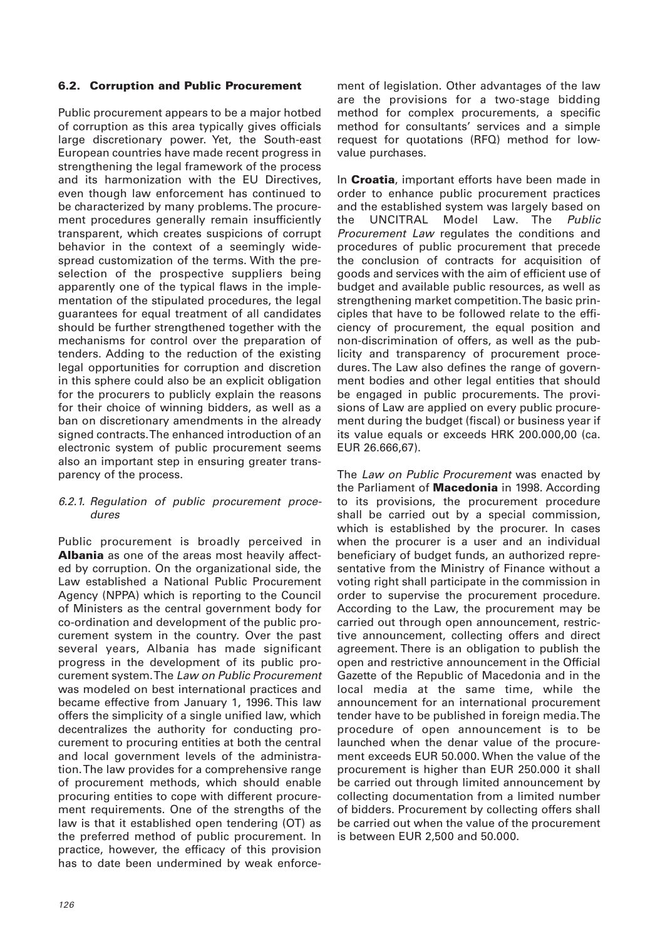## **6.2. Corruption and Public Procurement**

Public procurement appears to be a major hotbed of corruption as this area typically gives officials large discretionary power. Yet, the South-east European countries have made recent progress in strengthening the legal framework of the process and its harmonization with the EU Directives, even though law enforcement has continued to be characterized by many problems. The procurement procedures generally remain insufficiently transparent, which creates suspicions of corrupt behavior in the context of a seemingly widespread customization of the terms. With the preselection of the prospective suppliers being apparently one of the typical flaws in the implementation of the stipulated procedures, the legal guarantees for equal treatment of all candidates should be further strengthened together with the mechanisms for control over the preparation of tenders. Adding to the reduction of the existing legal opportunities for corruption and discretion in this sphere could also be an explicit obligation for the procurers to publicly explain the reasons for their choice of winning bidders, as well as a ban on discretionary amendments in the already signed contracts. The enhanced introduction of an electronic system of public procurement seems also an important step in ensuring greater transparency of the process.

#### 6.2.1. Regulation of public procurement procedures

Public procurement is broadly perceived in **Albania** as one of the areas most heavily affected by corruption. On the organizational side, the Law established a National Public Procurement Agency (NPPA) which is reporting to the Council of Ministers as the central government body for co-ordination and development of the public procurement system in the country. Over the past several years, Albania has made significant progress in the development of its public procurement system. The Law on Public Procurement was modeled on best international practices and became effective from January 1, 1996. This law offers the simplicity of a single unified law, which decentralizes the authority for conducting procurement to procuring entities at both the central and local government levels of the administration. The law provides for a comprehensive range of procurement methods, which should enable procuring entities to cope with different procurement requirements. One of the strengths of the law is that it established open tendering (OT) as the preferred method of public procurement. In practice, however, the efficacy of this provision has to date been undermined by weak enforcement of legislation. Other advantages of the law are the provisions for a two-stage bidding method for complex procurements, a specific method for consultants' services and a simple request for quotations (RFQ) method for lowvalue purchases.

In **Croatia**, important efforts have been made in order to enhance public procurement practices and the established system was largely based on the UNCITRAL Model Law. The Public Procurement Law regulates the conditions and procedures of public procurement that precede the conclusion of contracts for acquisition of goods and services with the aim of efficient use of budget and available public resources, as well as strengthening market competition. The basic principles that have to be followed relate to the efficiency of procurement, the equal position and non-discrimination of offers, as well as the publicity and transparency of procurement procedures. The Law also defines the range of government bodies and other legal entities that should be engaged in public procurements. The provisions of Law are applied on every public procurement during the budget (fiscal) or business year if its value equals or exceeds HRK 200.000,00 (ca. EUR 26.666,67).

The Law on Public Procurement was enacted by the Parliament of **Macedonia** in 1998. According to its provisions, the procurement procedure shall be carried out by a special commission, which is established by the procurer. In cases when the procurer is a user and an individual beneficiary of budget funds, an authorized representative from the Ministry of Finance without a voting right shall participate in the commission in order to supervise the procurement procedure. According to the Law, the procurement may be carried out through open announcement, restrictive announcement, collecting offers and direct agreement. There is an obligation to publish the open and restrictive announcement in the Official Gazette of the Republic of Macedonia and in the local media at the same time, while the announcement for an international procurement tender have to be published in foreign media. The procedure of open announcement is to be launched when the denar value of the procurement exceeds EUR 50.000. When the value of the procurement is higher than EUR 250.000 it shall be carried out through limited announcement by collecting documentation from a limited number of bidders. Procurement by collecting offers shall be carried out when the value of the procurement is between EUR 2,500 and 50.000.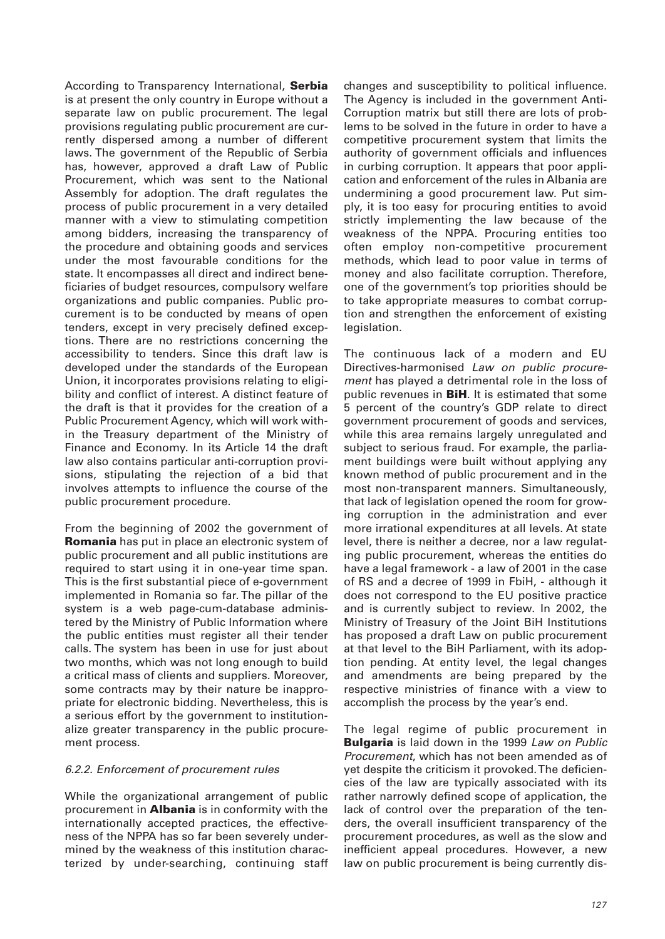According to Transparency International, **Serbia** is at present the only country in Europe without a separate law on public procurement. The legal provisions regulating public procurement are currently dispersed among a number of different laws. The government of the Republic of Serbia has, however, approved a draft Law of Public Procurement, which was sent to the National Assembly for adoption. The draft regulates the process of public procurement in a very detailed manner with a view to stimulating competition among bidders, increasing the transparency of the procedure and obtaining goods and services under the most favourable conditions for the state. It encompasses all direct and indirect beneficiaries of budget resources, compulsory welfare organizations and public companies. Public procurement is to be conducted by means of open tenders, except in very precisely defined exceptions. There are no restrictions concerning the accessibility to tenders. Since this draft law is developed under the standards of the European Union, it incorporates provisions relating to eligibility and conflict of interest. A distinct feature of the draft is that it provides for the creation of a Public Procurement Agency, which will work within the Treasury department of the Ministry of Finance and Economy. In its Article 14 the draft law also contains particular anti-corruption provisions, stipulating the rejection of a bid that involves attempts to influence the course of the public procurement procedure.

From the beginning of 2002 the government of **Romania** has put in place an electronic system of public procurement and all public institutions are required to start using it in one-year time span. This is the first substantial piece of e-government implemented in Romania so far. The pillar of the system is a web page-cum-database administered by the Ministry of Public Information where the public entities must register all their tender calls. The system has been in use for just about two months, which was not long enough to build a critical mass of clients and suppliers. Moreover, some contracts may by their nature be inappropriate for electronic bidding. Nevertheless, this is a serious effort by the government to institutionalize greater transparency in the public procurement process.

## 6.2.2. Enforcement of procurement rules

While the organizational arrangement of public procurement in **Albania** is in conformity with the internationally accepted practices, the effectiveness of the NPPA has so far been severely undermined by the weakness of this institution characterized by under-searching, continuing staff changes and susceptibility to political influence. The Agency is included in the government Anti-Corruption matrix but still there are lots of problems to be solved in the future in order to have a competitive procurement system that limits the authority of government officials and influences in curbing corruption. It appears that poor application and enforcement of the rules in Albania are undermining a good procurement law. Put simply, it is too easy for procuring entities to avoid strictly implementing the law because of the weakness of the NPPA. Procuring entities too often employ non-competitive procurement methods, which lead to poor value in terms of money and also facilitate corruption. Therefore, one of the government's top priorities should be to take appropriate measures to combat corruption and strengthen the enforcement of existing legislation.

The continuous lack of a modern and EU Directives-harmonised Law on public procurement has played a detrimental role in the loss of public revenues in **BiH**. It is estimated that some 5 percent of the country's GDP relate to direct government procurement of goods and services, while this area remains largely unregulated and subject to serious fraud. For example, the parliament buildings were built without applying any known method of public procurement and in the most non-transparent manners. Simultaneously, that lack of legislation opened the room for growing corruption in the administration and ever more irrational expenditures at all levels. At state level, there is neither a decree, nor a law regulating public procurement, whereas the entities do have a legal framework - a law of 2001 in the case of RS and a decree of 1999 in FbiH, - although it does not correspond to the EU positive practice and is currently subject to review. In 2002, the Ministry of Treasury of the Joint BiH Institutions has proposed a draft Law on public procurement at that level to the BiH Parliament, with its adoption pending. At entity level, the legal changes and amendments are being prepared by the respective ministries of finance with a view to accomplish the process by the year's end.

The legal regime of public procurement in **Bulgaria** is laid down in the 1999 Law on Public Procurement, which has not been amended as of yet despite the criticism it provoked. The deficiencies of the law are typically associated with its rather narrowly defined scope of application, the lack of control over the preparation of the tenders, the overall insufficient transparency of the procurement procedures, as well as the slow and inefficient appeal procedures. However, a new law on public procurement is being currently dis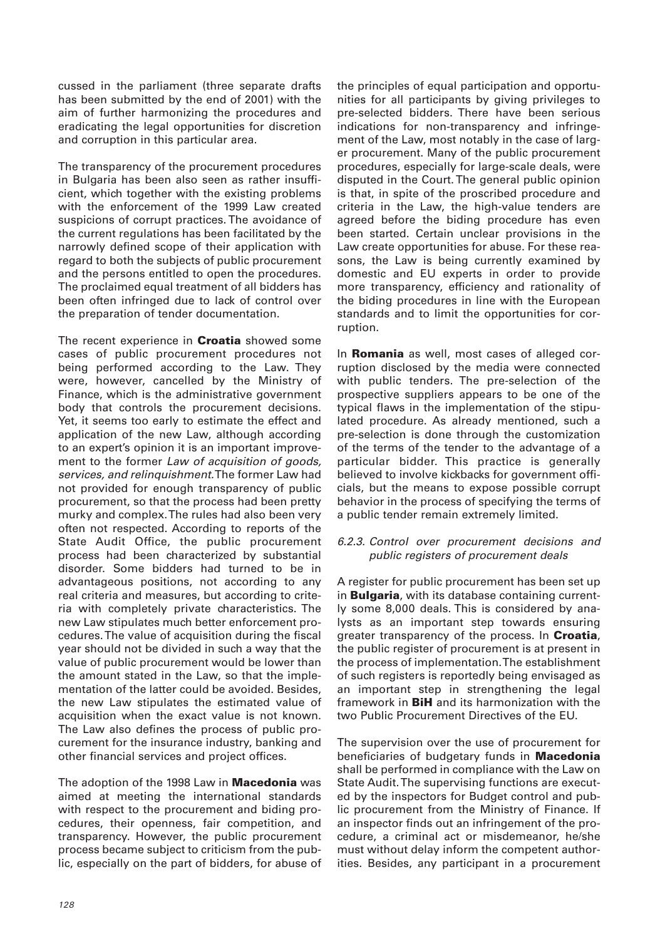cussed in the parliament (three separate drafts has been submitted by the end of 2001) with the aim of further harmonizing the procedures and eradicating the legal opportunities for discretion and corruption in this particular area.

The transparency of the procurement procedures in Bulgaria has been also seen as rather insufficient, which together with the existing problems with the enforcement of the 1999 Law created suspicions of corrupt practices. The avoidance of the current regulations has been facilitated by the narrowly defined scope of their application with regard to both the subjects of public procurement and the persons entitled to open the procedures. The proclaimed equal treatment of all bidders has been often infringed due to lack of control over the preparation of tender documentation.

The recent experience in **Croatia** showed some cases of public procurement procedures not being performed according to the Law. They were, however, cancelled by the Ministry of Finance, which is the administrative government body that controls the procurement decisions. Yet, it seems too early to estimate the effect and application of the new Law, although according to an expert's opinion it is an important improvement to the former Law of acquisition of goods, services, and relinquishment.The former Law had not provided for enough transparency of public procurement, so that the process had been pretty murky and complex. The rules had also been very often not respected. According to reports of the State Audit Office, the public procurement process had been characterized by substantial disorder. Some bidders had turned to be in advantageous positions, not according to any real criteria and measures, but according to criteria with completely private characteristics. The new Law stipulates much better enforcement procedures. The value of acquisition during the fiscal year should not be divided in such a way that the value of public procurement would be lower than the amount stated in the Law, so that the implementation of the latter could be avoided. Besides, the new Law stipulates the estimated value of acquisition when the exact value is not known. The Law also defines the process of public procurement for the insurance industry, banking and other financial services and project offices.

The adoption of the 1998 Law in **Macedonia** was aimed at meeting the international standards with respect to the procurement and biding procedures, their openness, fair competition, and transparency. However, the public procurement process became subject to criticism from the public, especially on the part of bidders, for abuse of the principles of equal participation and opportunities for all participants by giving privileges to pre-selected bidders. There have been serious indications for non-transparency and infringement of the Law, most notably in the case of larger procurement. Many of the public procurement procedures, especially for large-scale deals, were disputed in the Court. The general public opinion is that, in spite of the proscribed procedure and criteria in the Law, the high-value tenders are agreed before the biding procedure has even been started. Certain unclear provisions in the Law create opportunities for abuse. For these reasons, the Law is being currently examined by domestic and EU experts in order to provide more transparency, efficiency and rationality of the biding procedures in line with the European standards and to limit the opportunities for corruption.

In **Romania** as well, most cases of alleged corruption disclosed by the media were connected with public tenders. The pre-selection of the prospective suppliers appears to be one of the typical flaws in the implementation of the stipulated procedure. As already mentioned, such a pre-selection is done through the customization of the terms of the tender to the advantage of a particular bidder. This practice is generally believed to involve kickbacks for government officials, but the means to expose possible corrupt behavior in the process of specifying the terms of a public tender remain extremely limited.

#### 6.2.3. Control over procurement decisions and public registers of procurement deals

A register for public procurement has been set up in **Bulgaria**, with its database containing currently some 8,000 deals. This is considered by analysts as an important step towards ensuring greater transparency of the process. In **Croatia**, the public register of procurement is at present in the process of implementation. The establishment of such registers is reportedly being envisaged as an important step in strengthening the legal framework in **BiH** and its harmonization with the two Public Procurement Directives of the EU.

The supervision over the use of procurement for beneficiaries of budgetary funds in **Macedonia** shall be performed in compliance with the Law on State Audit. The supervising functions are executed by the inspectors for Budget control and public procurement from the Ministry of Finance. If an inspector finds out an infringement of the procedure, a criminal act or misdemeanor, he/she must without delay inform the competent authorities. Besides, any participant in a procurement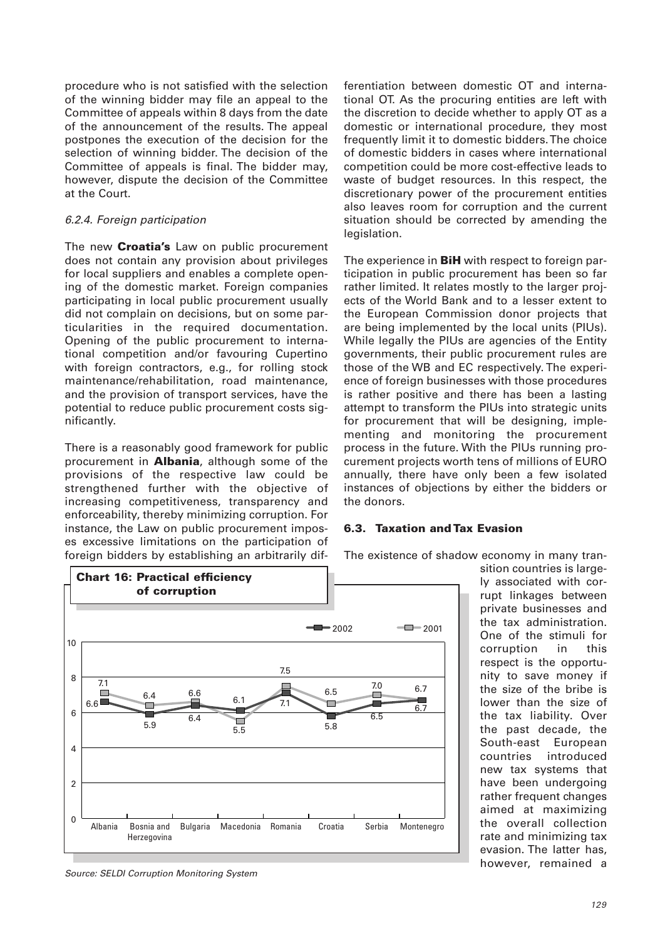procedure who is not satisfied with the selection of the winning bidder may file an appeal to the Committee of appeals within 8 days from the date of the announcement of the results. The appeal postpones the execution of the decision for the selection of winning bidder. The decision of the Committee of appeals is final. The bidder may, however, dispute the decision of the Committee at the Court.

#### 6.2.4. Foreign participation

The new **Croatia's** Law on public procurement does not contain any provision about privileges for local suppliers and enables a complete opening of the domestic market. Foreign companies participating in local public procurement usually did not complain on decisions, but on some particularities in the required documentation. Opening of the public procurement to international competition and/or favouring Cupertino with foreign contractors, e.g., for rolling stock maintenance/rehabilitation, road maintenance, and the provision of transport services, have the potential to reduce public procurement costs significantly.

There is a reasonably good framework for public procurement in **Albania**, although some of the provisions of the respective law could be strengthened further with the objective of increasing competitiveness, transparency and enforceability, thereby minimizing corruption. For instance, the Law on public procurement imposes excessive limitations on the participation of foreign bidders by establishing an arbitrarily differentiation between domestic OT and international OT. As the procuring entities are left with the discretion to decide whether to apply OT as a domestic or international procedure, they most frequently limit it to domestic bidders. The choice of domestic bidders in cases where international competition could be more cost-effective leads to waste of budget resources. In this respect, the discretionary power of the procurement entities also leaves room for corruption and the current situation should be corrected by amending the legislation.

The experience in **BiH** with respect to foreign participation in public procurement has been so far rather limited. It relates mostly to the larger projects of the World Bank and to a lesser extent to the European Commission donor projects that are being implemented by the local units (PIUs). While legally the PIUs are agencies of the Entity governments, their public procurement rules are those of the WB and EC respectively. The experience of foreign businesses with those procedures is rather positive and there has been a lasting attempt to transform the PIUs into strategic units for procurement that will be designing, implementing and monitoring the procurement process in the future. With the PIUs running procurement projects worth tens of millions of EURO annually, there have only been a few isolated instances of objections by either the bidders or the donors.

## **6.3. Taxation and Tax Evasion**

The existence of shadow economy in many tran-



sition countries is largely associated with corrupt linkages between private businesses and the tax administration. One of the stimuli for corruption in this respect is the opportunity to save money if the size of the bribe is lower than the size of the tax liability. Over the past decade, the South-east European countries introduced new tax systems that have been undergoing rather frequent changes aimed at maximizing the overall collection rate and minimizing tax evasion. The latter has, however, remained a

Source: SELDI Corruption Monitoring System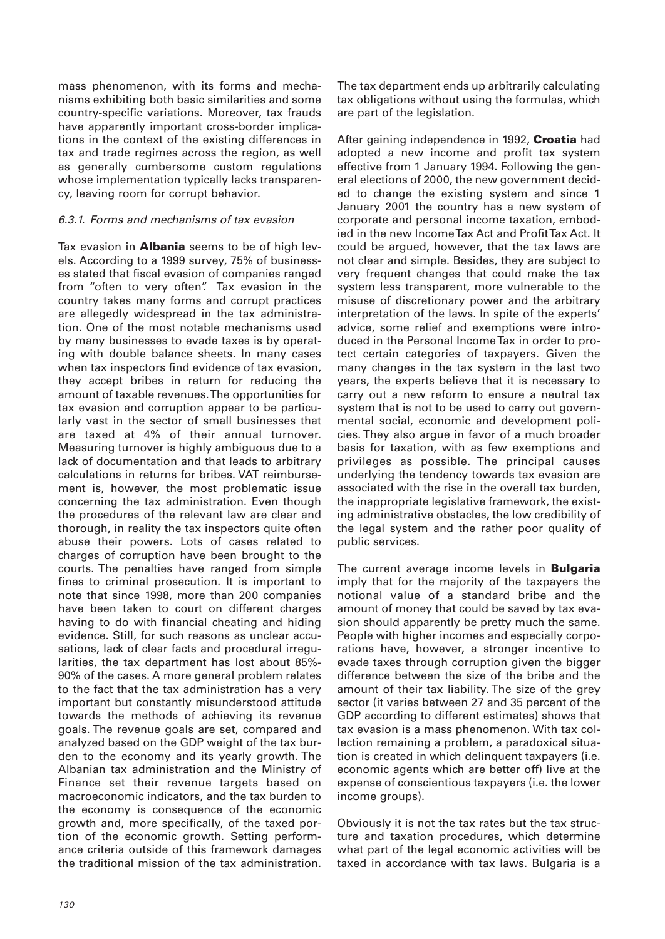mass phenomenon, with its forms and mechanisms exhibiting both basic similarities and some country-specific variations. Moreover, tax frauds have apparently important cross-border implications in the context of the existing differences in tax and trade regimes across the region, as well as generally cumbersome custom regulations whose implementation typically lacks transparency, leaving room for corrupt behavior.

#### 6.3.1. Forms and mechanisms of tax evasion

Tax evasion in **Albania** seems to be of high levels. According to a 1999 survey, 75% of businesses stated that fiscal evasion of companies ranged from "often to very often". Tax evasion in the country takes many forms and corrupt practices are allegedly widespread in the tax administration. One of the most notable mechanisms used by many businesses to evade taxes is by operating with double balance sheets. In many cases when tax inspectors find evidence of tax evasion, they accept bribes in return for reducing the amount of taxable revenues. The opportunities for tax evasion and corruption appear to be particularly vast in the sector of small businesses that are taxed at 4% of their annual turnover. Measuring turnover is highly ambiguous due to a lack of documentation and that leads to arbitrary calculations in returns for bribes. VAT reimbursement is, however, the most problematic issue concerning the tax administration. Even though the procedures of the relevant law are clear and thorough, in reality the tax inspectors quite often abuse their powers. Lots of cases related to charges of corruption have been brought to the courts. The penalties have ranged from simple fines to criminal prosecution. It is important to note that since 1998, more than 200 companies have been taken to court on different charges having to do with financial cheating and hiding evidence. Still, for such reasons as unclear accusations, lack of clear facts and procedural irregularities, the tax department has lost about 85%- 90% of the cases. A more general problem relates to the fact that the tax administration has a very important but constantly misunderstood attitude towards the methods of achieving its revenue goals. The revenue goals are set, compared and analyzed based on the GDP weight of the tax burden to the economy and its yearly growth. The Albanian tax administration and the Ministry of Finance set their revenue targets based on macroeconomic indicators, and the tax burden to the economy is consequence of the economic growth and, more specifically, of the taxed portion of the economic growth. Setting performance criteria outside of this framework damages the traditional mission of the tax administration.

The tax department ends up arbitrarily calculating tax obligations without using the formulas, which are part of the legislation.

After gaining independence in 1992, **Croatia** had adopted a new income and profit tax system effective from 1 January 1994. Following the general elections of 2000, the new government decided to change the existing system and since 1 January 2001 the country has a new system of corporate and personal income taxation, embodied in the new Income Tax Act and Profit Tax Act. It could be argued, however, that the tax laws are not clear and simple. Besides, they are subject to very frequent changes that could make the tax system less transparent, more vulnerable to the misuse of discretionary power and the arbitrary interpretation of the laws. In spite of the experts' advice, some relief and exemptions were introduced in the Personal Income Tax in order to protect certain categories of taxpayers. Given the many changes in the tax system in the last two years, the experts believe that it is necessary to carry out a new reform to ensure a neutral tax system that is not to be used to carry out governmental social, economic and development policies. They also argue in favor of a much broader basis for taxation, with as few exemptions and privileges as possible. The principal causes underlying the tendency towards tax evasion are associated with the rise in the overall tax burden, the inappropriate legislative framework, the existing administrative obstacles, the low credibility of the legal system and the rather poor quality of public services.

The current average income levels in **Bulgaria** imply that for the majority of the taxpayers the notional value of a standard bribe and the amount of money that could be saved by tax evasion should apparently be pretty much the same. People with higher incomes and especially corporations have, however, a stronger incentive to evade taxes through corruption given the bigger difference between the size of the bribe and the amount of their tax liability. The size of the grey sector (it varies between 27 and 35 percent of the GDP according to different estimates) shows that tax evasion is a mass phenomenon. With tax collection remaining a problem, a paradoxical situation is created in which delinquent taxpayers (i.e. economic agents which are better off) live at the expense of conscientious taxpayers (i.e. the lower income groups).

Obviously it is not the tax rates but the tax structure and taxation procedures, which determine what part of the legal economic activities will be taxed in accordance with tax laws. Bulgaria is a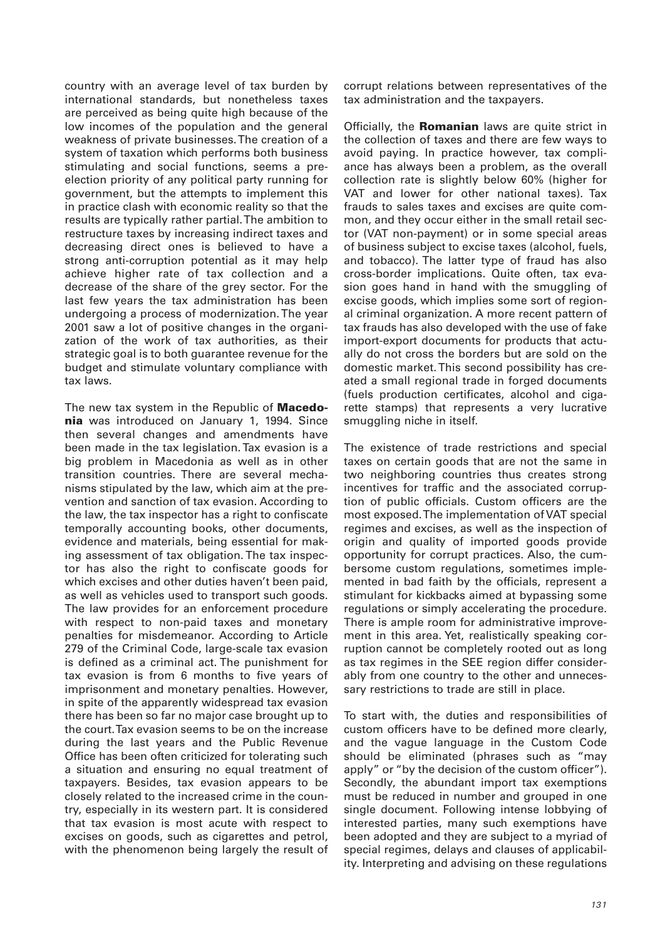country with an average level of tax burden by international standards, but nonetheless taxes are perceived as being quite high because of the low incomes of the population and the general weakness of private businesses. The creation of a system of taxation which performs both business stimulating and social functions, seems a preelection priority of any political party running for government, but the attempts to implement this in practice clash with economic reality so that the results are typically rather partial. The ambition to restructure taxes by increasing indirect taxes and decreasing direct ones is believed to have a strong anti-corruption potential as it may help achieve higher rate of tax collection and a decrease of the share of the grey sector. For the last few years the tax administration has been undergoing a process of modernization. The year 2001 saw a lot of positive changes in the organization of the work of tax authorities, as their strategic goal is to both guarantee revenue for the budget and stimulate voluntary compliance with tax laws.

The new tax system in the Republic of **Macedonia** was introduced on January 1, 1994. Since then several changes and amendments have been made in the tax legislation. Tax evasion is a big problem in Macedonia as well as in other transition countries. There are several mechanisms stipulated by the law, which aim at the prevention and sanction of tax evasion. According to the law, the tax inspector has a right to confiscate temporally accounting books, other documents, evidence and materials, being essential for making assessment of tax obligation. The tax inspector has also the right to confiscate goods for which excises and other duties haven't been paid, as well as vehicles used to transport such goods. The law provides for an enforcement procedure with respect to non-paid taxes and monetary penalties for misdemeanor. According to Article 279 of the Criminal Code, large-scale tax evasion is defined as a criminal act. The punishment for tax evasion is from 6 months to five years of imprisonment and monetary penalties. However, in spite of the apparently widespread tax evasion there has been so far no major case brought up to the court. Tax evasion seems to be on the increase during the last years and the Public Revenue Office has been often criticized for tolerating such a situation and ensuring no equal treatment of taxpayers. Besides, tax evasion appears to be closely related to the increased crime in the country, especially in its western part. It is considered that tax evasion is most acute with respect to excises on goods, such as cigarettes and petrol, with the phenomenon being largely the result of

corrupt relations between representatives of the tax administration and the taxpayers.

Officially, the **Romanian** laws are quite strict in the collection of taxes and there are few ways to avoid paying. In practice however, tax compliance has always been a problem, as the overall collection rate is slightly below 60% (higher for VAT and lower for other national taxes). Tax frauds to sales taxes and excises are quite common, and they occur either in the small retail sector (VAT non-payment) or in some special areas of business subject to excise taxes (alcohol, fuels, and tobacco). The latter type of fraud has also cross-border implications. Quite often, tax evasion goes hand in hand with the smuggling of excise goods, which implies some sort of regional criminal organization. A more recent pattern of tax frauds has also developed with the use of fake import-export documents for products that actually do not cross the borders but are sold on the domestic market. This second possibility has created a small regional trade in forged documents (fuels production certificates, alcohol and cigarette stamps) that represents a very lucrative smuggling niche in itself.

The existence of trade restrictions and special taxes on certain goods that are not the same in two neighboring countries thus creates strong incentives for traffic and the associated corruption of public officials. Custom officers are the most exposed. The implementation of VAT special regimes and excises, as well as the inspection of origin and quality of imported goods provide opportunity for corrupt practices. Also, the cumbersome custom regulations, sometimes implemented in bad faith by the officials, represent a stimulant for kickbacks aimed at bypassing some regulations or simply accelerating the procedure. There is ample room for administrative improvement in this area. Yet, realistically speaking corruption cannot be completely rooted out as long as tax regimes in the SEE region differ considerably from one country to the other and unnecessary restrictions to trade are still in place.

To start with, the duties and responsibilities of custom officers have to be defined more clearly, and the vague language in the Custom Code should be eliminated (phrases such as "may apply" or "by the decision of the custom officer"). Secondly, the abundant import tax exemptions must be reduced in number and grouped in one single document. Following intense lobbying of interested parties, many such exemptions have been adopted and they are subject to a myriad of special regimes, delays and clauses of applicability. Interpreting and advising on these regulations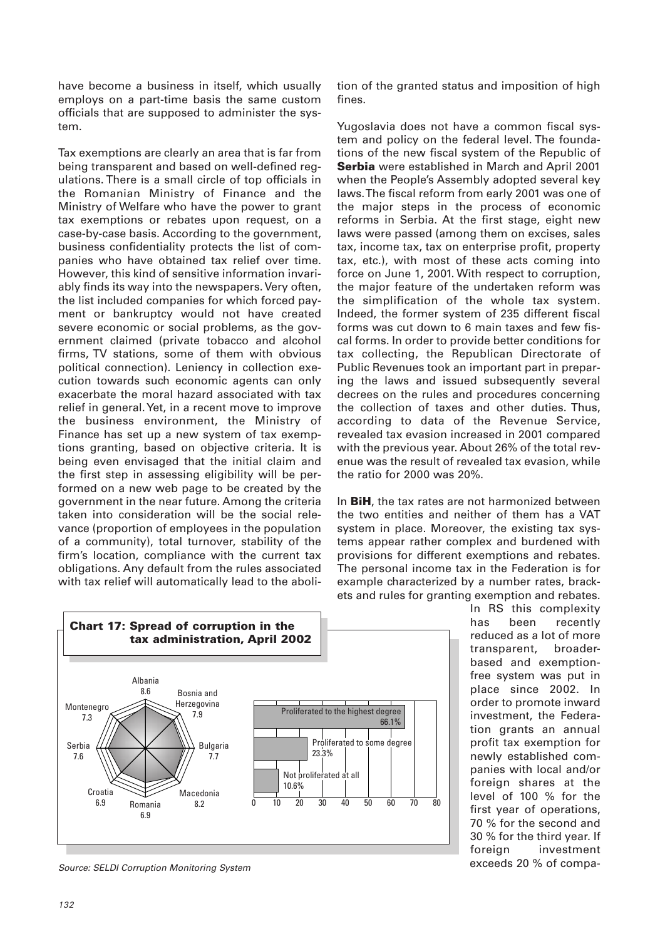have become a business in itself, which usually employs on a part-time basis the same custom officials that are supposed to administer the system.

Tax exemptions are clearly an area that is far from being transparent and based on well-defined regulations. There is a small circle of top officials in the Romanian Ministry of Finance and the Ministry of Welfare who have the power to grant tax exemptions or rebates upon request, on a case-by-case basis. According to the government, business confidentiality protects the list of companies who have obtained tax relief over time. However, this kind of sensitive information invariably finds its way into the newspapers. Very often, the list included companies for which forced payment or bankruptcy would not have created severe economic or social problems, as the government claimed (private tobacco and alcohol firms, TV stations, some of them with obvious political connection). Leniency in collection execution towards such economic agents can only exacerbate the moral hazard associated with tax relief in general. Yet, in a recent move to improve the business environment, the Ministry of Finance has set up a new system of tax exemptions granting, based on objective criteria. It is being even envisaged that the initial claim and the first step in assessing eligibility will be performed on a new web page to be created by the government in the near future. Among the criteria taken into consideration will be the social relevance (proportion of employees in the population of a community), total turnover, stability of the firm's location, compliance with the current tax obligations. Any default from the rules associated with tax relief will automatically lead to the abolition of the granted status and imposition of high fines.

Yugoslavia does not have a common fiscal system and policy on the federal level. The foundations of the new fiscal system of the Republic of **Serbia** were established in March and April 2001 when the People's Assembly adopted several key laws. The fiscal reform from early 2001 was one of the major steps in the process of economic reforms in Serbia. At the first stage, eight new laws were passed (among them on excises, sales tax, income tax, tax on enterprise profit, property tax, etc.), with most of these acts coming into force on June 1, 2001. With respect to corruption, the major feature of the undertaken reform was the simplification of the whole tax system. Indeed, the former system of 235 different fiscal forms was cut down to 6 main taxes and few fiscal forms. In order to provide better conditions for tax collecting, the Republican Directorate of Public Revenues took an important part in preparing the laws and issued subsequently several decrees on the rules and procedures concerning the collection of taxes and other duties. Thus, according to data of the Revenue Service, revealed tax evasion increased in 2001 compared with the previous year. About 26% of the total revenue was the result of revealed tax evasion, while the ratio for 2000 was 20%.

In **BiH**, the tax rates are not harmonized between the two entities and neither of them has a VAT system in place. Moreover, the existing tax systems appear rather complex and burdened with provisions for different exemptions and rebates. The personal income tax in the Federation is for example characterized by a number rates, brackets and rules for granting exemption and rebates.



Source: SELDI Corruption Monitoring System

In RS this complexity has been recently reduced as a lot of more transparent, broaderbased and exemptionfree system was put in place since 2002. In order to promote inward investment, the Federation grants an annual profit tax exemption for newly established companies with local and/or foreign shares at the level of 100 % for the first year of operations, 70 % for the second and 30 % for the third year. If foreign investment exceeds 20 % of compa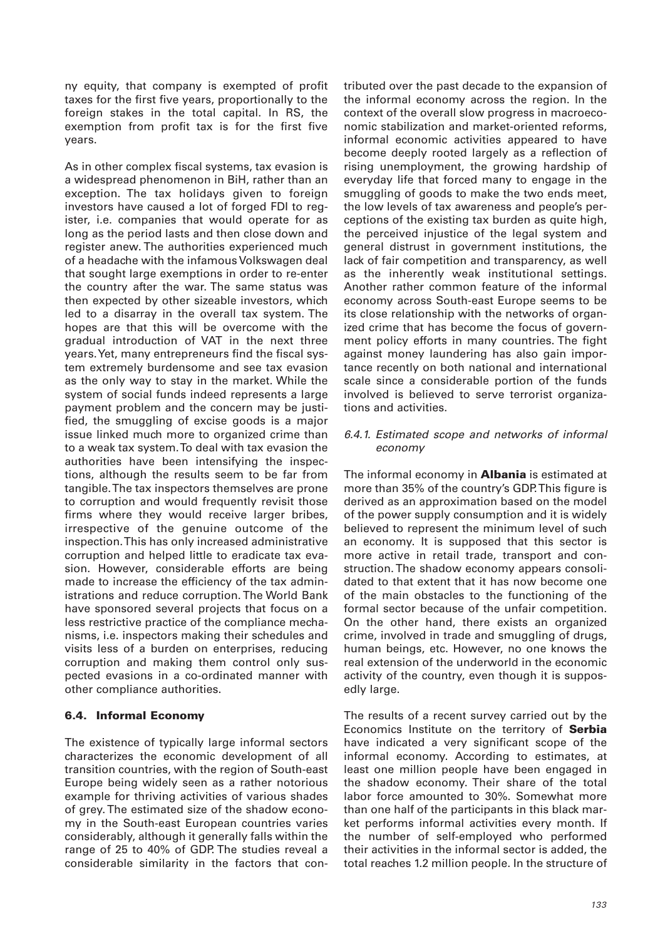ny equity, that company is exempted of profit taxes for the first five years, proportionally to the foreign stakes in the total capital. In RS, the exemption from profit tax is for the first five years.

As in other complex fiscal systems, tax evasion is a widespread phenomenon in BiH, rather than an exception. The tax holidays given to foreign investors have caused a lot of forged FDI to register, i.e. companies that would operate for as long as the period lasts and then close down and register anew. The authorities experienced much of a headache with the infamous Volkswagen deal that sought large exemptions in order to re-enter the country after the war. The same status was then expected by other sizeable investors, which led to a disarray in the overall tax system. The hopes are that this will be overcome with the gradual introduction of VAT in the next three years. Yet, many entrepreneurs find the fiscal system extremely burdensome and see tax evasion as the only way to stay in the market. While the system of social funds indeed represents a large payment problem and the concern may be justified, the smuggling of excise goods is a major issue linked much more to organized crime than to a weak tax system. To deal with tax evasion the authorities have been intensifying the inspections, although the results seem to be far from tangible. The tax inspectors themselves are prone to corruption and would frequently revisit those firms where they would receive larger bribes, irrespective of the genuine outcome of the inspection. This has only increased administrative corruption and helped little to eradicate tax evasion. However, considerable efforts are being made to increase the efficiency of the tax administrations and reduce corruption. The World Bank have sponsored several projects that focus on a less restrictive practice of the compliance mechanisms, i.e. inspectors making their schedules and visits less of a burden on enterprises, reducing corruption and making them control only suspected evasions in a co-ordinated manner with other compliance authorities.

## **6.4. Informal Economy**

The existence of typically large informal sectors characterizes the economic development of all transition countries, with the region of South-east Europe being widely seen as a rather notorious example for thriving activities of various shades of grey. The estimated size of the shadow economy in the South-east European countries varies considerably, although it generally falls within the range of 25 to 40% of GDP. The studies reveal a considerable similarity in the factors that contributed over the past decade to the expansion of the informal economy across the region. In the context of the overall slow progress in macroeconomic stabilization and market-oriented reforms, informal economic activities appeared to have become deeply rooted largely as a reflection of rising unemployment, the growing hardship of everyday life that forced many to engage in the smuggling of goods to make the two ends meet, the low levels of tax awareness and people's perceptions of the existing tax burden as quite high, the perceived injustice of the legal system and general distrust in government institutions, the lack of fair competition and transparency, as well as the inherently weak institutional settings. Another rather common feature of the informal economy across South-east Europe seems to be its close relationship with the networks of organized crime that has become the focus of government policy efforts in many countries. The fight against money laundering has also gain importance recently on both national and international scale since a considerable portion of the funds involved is believed to serve terrorist organizations and activities.

#### 6.4.1. Estimated scope and networks of informal economy

The informal economy in **Albania** is estimated at more than 35% of the country's GDP. This figure is derived as an approximation based on the model of the power supply consumption and it is widely believed to represent the minimum level of such an economy. It is supposed that this sector is more active in retail trade, transport and construction. The shadow economy appears consolidated to that extent that it has now become one of the main obstacles to the functioning of the formal sector because of the unfair competition. On the other hand, there exists an organized crime, involved in trade and smuggling of drugs, human beings, etc. However, no one knows the real extension of the underworld in the economic activity of the country, even though it is supposedly large.

The results of a recent survey carried out by the Economics Institute on the territory of **Serbia** have indicated a very significant scope of the informal economy. According to estimates, at least one million people have been engaged in the shadow economy. Their share of the total labor force amounted to 30%. Somewhat more than one half of the participants in this black market performs informal activities every month. If the number of self-employed who performed their activities in the informal sector is added, the total reaches 1.2 million people. In the structure of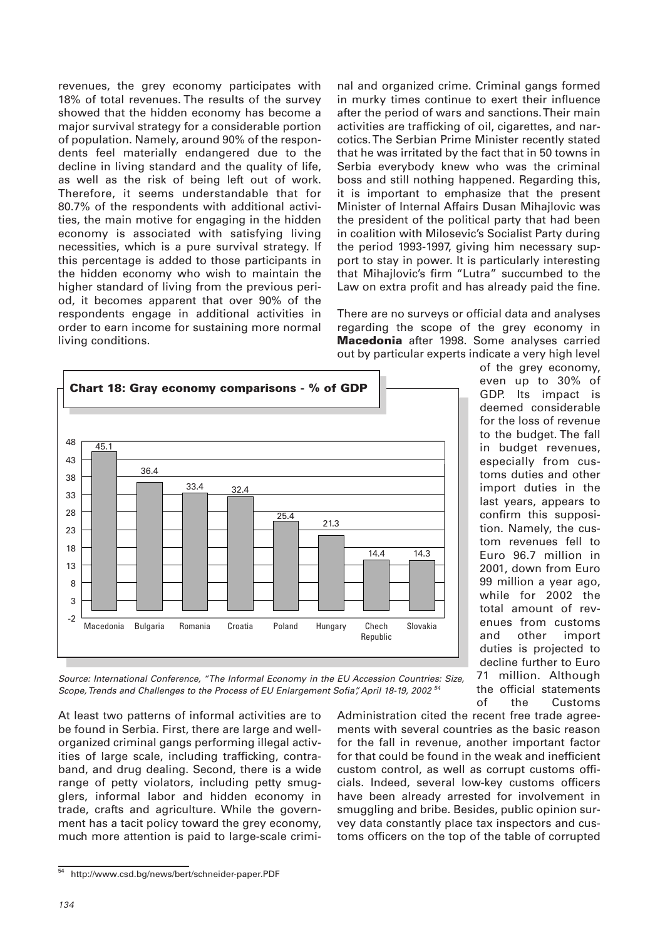revenues, the grey economy participates with 18% of total revenues. The results of the survey showed that the hidden economy has become a major survival strategy for a considerable portion of population. Namely, around 90% of the respondents feel materially endangered due to the decline in living standard and the quality of life, as well as the risk of being left out of work. Therefore, it seems understandable that for 80.7% of the respondents with additional activities, the main motive for engaging in the hidden economy is associated with satisfying living necessities, which is a pure survival strategy. If this percentage is added to those participants in the hidden economy who wish to maintain the higher standard of living from the previous period, it becomes apparent that over 90% of the respondents engage in additional activities in order to earn income for sustaining more normal living conditions.

nal and organized crime. Criminal gangs formed in murky times continue to exert their influence after the period of wars and sanctions. Their main activities are trafficking of oil, cigarettes, and narcotics. The Serbian Prime Minister recently stated that he was irritated by the fact that in 50 towns in Serbia everybody knew who was the criminal boss and still nothing happened. Regarding this, it is important to emphasize that the present Minister of Internal Affairs Dusan Mihajlovic was the president of the political party that had been in coalition with Milosevic's Socialist Party during the period 1993-1997, giving him necessary support to stay in power. It is particularly interesting that Mihajlovic's firm "Lutra" succumbed to the Law on extra profit and has already paid the fine.

There are no surveys or official data and analyses regarding the scope of the grey economy in **Macedonia** after 1998. Some analyses carried out by particular experts indicate a very high level



of the grey economy, even up to 30% of GDP. Its impact is deemed considerable for the loss of revenue to the budget. The fall in budget revenues, especially from customs duties and other import duties in the last years, appears to confirm this supposition. Namely, the custom revenues fell to Euro 96.7 million in 2001, down from Euro 99 million a year ago, while for 2002 the total amount of revenues from customs and other import duties is projected to decline further to Euro 71 million. Although the official statements of the Customs

Source: International Conference, "The Informal Economy in the EU Accession Countries: Size, Scope, Trends and Challenges to the Process of EU Enlargement Sofia", April 18-19, 2002<sup>54</sup>

At least two patterns of informal activities are to be found in Serbia. First, there are large and wellorganized criminal gangs performing illegal activities of large scale, including trafficking, contraband, and drug dealing. Second, there is a wide range of petty violators, including petty smugglers, informal labor and hidden economy in trade, crafts and agriculture. While the government has a tacit policy toward the grey economy, much more attention is paid to large-scale crimiAdministration cited the recent free trade agreements with several countries as the basic reason for the fall in revenue, another important factor for that could be found in the weak and inefficient custom control, as well as corrupt customs officials. Indeed, several low-key customs officers have been already arrested for involvement in smuggling and bribe. Besides, public opinion survey data constantly place tax inspectors and customs officers on the top of the table of corrupted

<sup>54</sup> http://www.csd.bg/news/bert/schneider-paper.PDF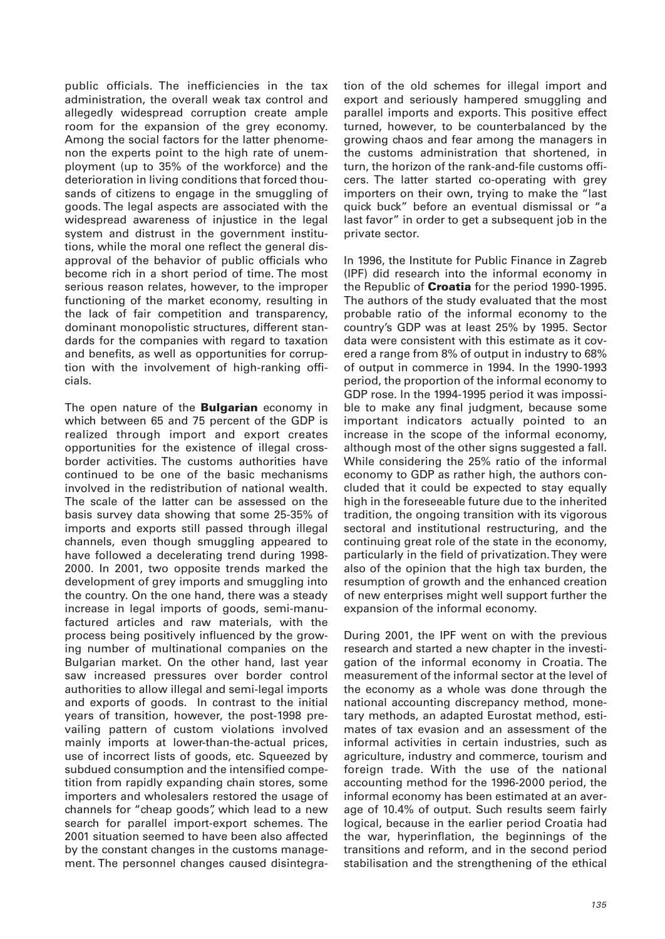public officials. The inefficiencies in the tax administration, the overall weak tax control and allegedly widespread corruption create ample room for the expansion of the grey economy. Among the social factors for the latter phenomenon the experts point to the high rate of unemployment (up to 35% of the workforce) and the deterioration in living conditions that forced thousands of citizens to engage in the smuggling of goods. The legal aspects are associated with the widespread awareness of injustice in the legal system and distrust in the government institutions, while the moral one reflect the general disapproval of the behavior of public officials who become rich in a short period of time. The most serious reason relates, however, to the improper functioning of the market economy, resulting in the lack of fair competition and transparency, dominant monopolistic structures, different standards for the companies with regard to taxation and benefits, as well as opportunities for corruption with the involvement of high-ranking officials.

The open nature of the **Bulgarian** economy in which between 65 and 75 percent of the GDP is realized through import and export creates opportunities for the existence of illegal crossborder activities. The customs authorities have continued to be one of the basic mechanisms involved in the redistribution of national wealth. The scale of the latter can be assessed on the basis survey data showing that some 25-35% of imports and exports still passed through illegal channels, even though smuggling appeared to have followed a decelerating trend during 1998- 2000. In 2001, two opposite trends marked the development of grey imports and smuggling into the country. On the one hand, there was a steady increase in legal imports of goods, semi-manufactured articles and raw materials, with the process being positively influenced by the growing number of multinational companies on the Bulgarian market. On the other hand, last year saw increased pressures over border control authorities to allow illegal and semi-legal imports and exports of goods. In contrast to the initial years of transition, however, the post-1998 prevailing pattern of custom violations involved mainly imports at lower-than-the-actual prices, use of incorrect lists of goods, etc. Squeezed by subdued consumption and the intensified competition from rapidly expanding chain stores, some importers and wholesalers restored the usage of channels for "cheap goods", which lead to a new search for parallel import-export schemes. The 2001 situation seemed to have been also affected by the constant changes in the customs management. The personnel changes caused disintegration of the old schemes for illegal import and export and seriously hampered smuggling and parallel imports and exports. This positive effect turned, however, to be counterbalanced by the growing chaos and fear among the managers in the customs administration that shortened, in turn, the horizon of the rank-and-file customs officers. The latter started co-operating with grey importers on their own, trying to make the "last quick buck" before an eventual dismissal or "a last favor" in order to get a subsequent job in the private sector.

In 1996, the Institute for Public Finance in Zagreb (IPF) did research into the informal economy in the Republic of **Croatia** for the period 1990-1995. The authors of the study evaluated that the most probable ratio of the informal economy to the country's GDP was at least 25% by 1995. Sector data were consistent with this estimate as it covered a range from 8% of output in industry to 68% of output in commerce in 1994. In the 1990-1993 period, the proportion of the informal economy to GDP rose. In the 1994-1995 period it was impossible to make any final judgment, because some important indicators actually pointed to an increase in the scope of the informal economy, although most of the other signs suggested a fall. While considering the 25% ratio of the informal economy to GDP as rather high, the authors concluded that it could be expected to stay equally high in the foreseeable future due to the inherited tradition, the ongoing transition with its vigorous sectoral and institutional restructuring, and the continuing great role of the state in the economy, particularly in the field of privatization. They were also of the opinion that the high tax burden, the resumption of growth and the enhanced creation of new enterprises might well support further the expansion of the informal economy.

During 2001, the IPF went on with the previous research and started a new chapter in the investigation of the informal economy in Croatia. The measurement of the informal sector at the level of the economy as a whole was done through the national accounting discrepancy method, monetary methods, an adapted Eurostat method, estimates of tax evasion and an assessment of the informal activities in certain industries, such as agriculture, industry and commerce, tourism and foreign trade. With the use of the national accounting method for the 1996-2000 period, the informal economy has been estimated at an average of 10.4% of output. Such results seem fairly logical, because in the earlier period Croatia had the war, hyperinflation, the beginnings of the transitions and reform, and in the second period stabilisation and the strengthening of the ethical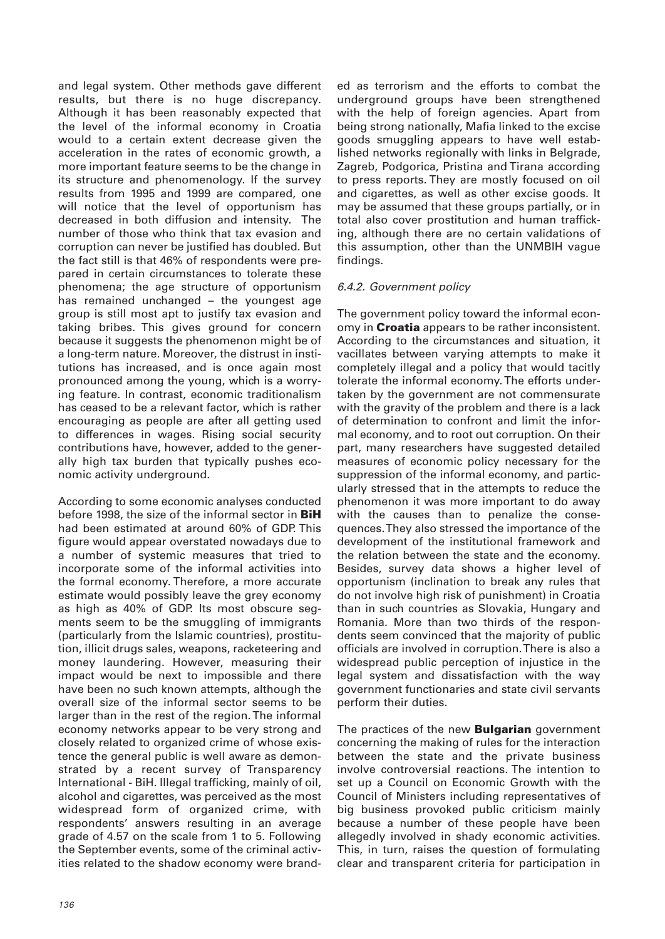and legal system. Other methods gave different results, but there is no huge discrepancy. Although it has been reasonably expected that the level of the informal economy in Croatia would to a certain extent decrease given the acceleration in the rates of economic growth, a more important feature seems to be the change in its structure and phenomenology. If the survey results from 1995 and 1999 are compared, one will notice that the level of opportunism has decreased in both diffusion and intensity. The number of those who think that tax evasion and corruption can never be justified has doubled. But the fact still is that 46% of respondents were prepared in certain circumstances to tolerate these phenomena; the age structure of opportunism has remained unchanged – the youngest age group is still most apt to justify tax evasion and taking bribes. This gives ground for concern because it suggests the phenomenon might be of a long-term nature. Moreover, the distrust in institutions has increased, and is once again most pronounced among the young, which is a worrying feature. In contrast, economic traditionalism has ceased to be a relevant factor, which is rather encouraging as people are after all getting used to differences in wages. Rising social security contributions have, however, added to the generally high tax burden that typically pushes economic activity underground.

According to some economic analyses conducted before 1998, the size of the informal sector in **BiH** had been estimated at around 60% of GDP. This figure would appear overstated nowadays due to a number of systemic measures that tried to incorporate some of the informal activities into the formal economy. Therefore, a more accurate estimate would possibly leave the grey economy as high as 40% of GDP. Its most obscure segments seem to be the smuggling of immigrants (particularly from the Islamic countries), prostitution, illicit drugs sales, weapons, racketeering and money laundering. However, measuring their impact would be next to impossible and there have been no such known attempts, although the overall size of the informal sector seems to be larger than in the rest of the region. The informal economy networks appear to be very strong and closely related to organized crime of whose existence the general public is well aware as demonstrated by a recent survey of Transparency International - BiH. Illegal trafficking, mainly of oil, alcohol and cigarettes, was perceived as the most widespread form of organized crime, with respondents' answers resulting in an average grade of 4.57 on the scale from 1 to 5. Following the September events, some of the criminal activities related to the shadow economy were branded as terrorism and the efforts to combat the underground groups have been strengthened with the help of foreign agencies. Apart from being strong nationally, Mafia linked to the excise goods smuggling appears to have well established networks regionally with links in Belgrade, Zagreb, Podgorica, Pristina and Tirana according to press reports. They are mostly focused on oil and cigarettes, as well as other excise goods. It may be assumed that these groups partially, or in total also cover prostitution and human trafficking, although there are no certain validations of this assumption, other than the UNMBIH vague findings.

## 6.4.2. Government policy

The government policy toward the informal economy in **Croatia** appears to be rather inconsistent. According to the circumstances and situation, it vacillates between varying attempts to make it completely illegal and a policy that would tacitly tolerate the informal economy. The efforts undertaken by the government are not commensurate with the gravity of the problem and there is a lack of determination to confront and limit the informal economy, and to root out corruption. On their part, many researchers have suggested detailed measures of economic policy necessary for the suppression of the informal economy, and particularly stressed that in the attempts to reduce the phenomenon it was more important to do away with the causes than to penalize the consequences. They also stressed the importance of the development of the institutional framework and the relation between the state and the economy. Besides, survey data shows a higher level of opportunism (inclination to break any rules that do not involve high risk of punishment) in Croatia than in such countries as Slovakia, Hungary and Romania. More than two thirds of the respondents seem convinced that the majority of public officials are involved in corruption. There is also a widespread public perception of injustice in the legal system and dissatisfaction with the way government functionaries and state civil servants perform their duties.

The practices of the new **Bulgarian** government concerning the making of rules for the interaction between the state and the private business involve controversial reactions. The intention to set up a Council on Economic Growth with the Council of Ministers including representatives of big business provoked public criticism mainly because a number of these people have been allegedly involved in shady economic activities. This, in turn, raises the question of formulating clear and transparent criteria for participation in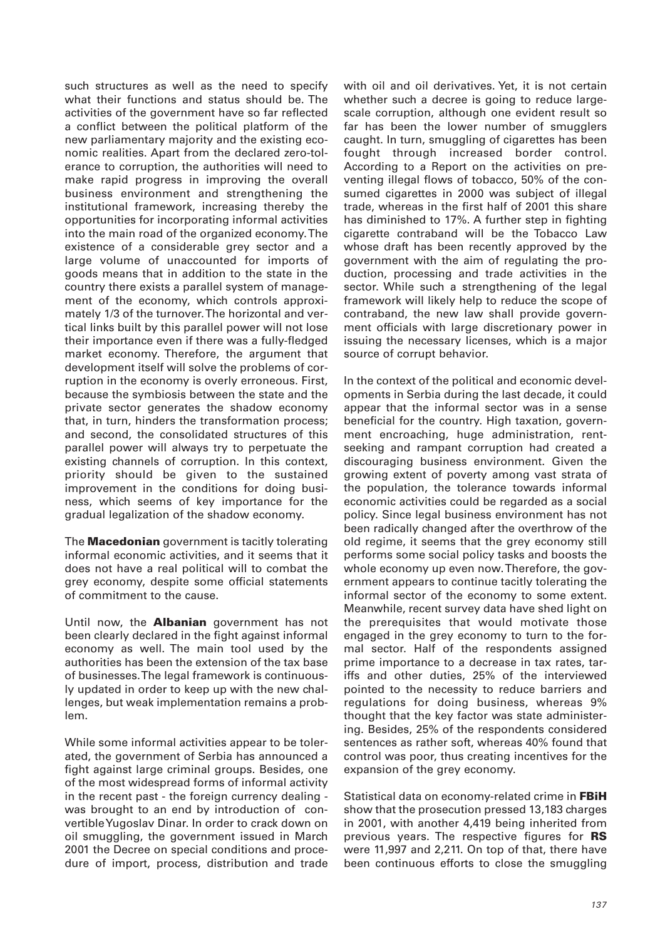such structures as well as the need to specify what their functions and status should be. The activities of the government have so far reflected a conflict between the political platform of the new parliamentary majority and the existing economic realities. Apart from the declared zero-tolerance to corruption, the authorities will need to make rapid progress in improving the overall business environment and strengthening the institutional framework, increasing thereby the opportunities for incorporating informal activities into the main road of the organized economy. The existence of a considerable grey sector and a large volume of unaccounted for imports of goods means that in addition to the state in the country there exists a parallel system of management of the economy, which controls approximately 1/3 of the turnover. The horizontal and vertical links built by this parallel power will not lose their importance even if there was a fully-fledged market economy. Therefore, the argument that development itself will solve the problems of corruption in the economy is overly erroneous. First, because the symbiosis between the state and the private sector generates the shadow economy that, in turn, hinders the transformation process; and second, the consolidated structures of this parallel power will always try to perpetuate the existing channels of corruption. In this context, priority should be given to the sustained improvement in the conditions for doing business, which seems of key importance for the gradual legalization of the shadow economy.

The **Macedonian** government is tacitly tolerating informal economic activities, and it seems that it does not have a real political will to combat the grey economy, despite some official statements of commitment to the cause.

Until now, the **Albanian** government has not been clearly declared in the fight against informal economy as well. The main tool used by the authorities has been the extension of the tax base of businesses. The legal framework is continuously updated in order to keep up with the new challenges, but weak implementation remains a problem.

While some informal activities appear to be tolerated, the government of Serbia has announced a fight against large criminal groups. Besides, one of the most widespread forms of informal activity in the recent past - the foreign currency dealing was brought to an end by introduction of convertible Yugoslav Dinar. In order to crack down on oil smuggling, the government issued in March 2001 the Decree on special conditions and procedure of import, process, distribution and trade with oil and oil derivatives. Yet, it is not certain whether such a decree is going to reduce largescale corruption, although one evident result so far has been the lower number of smugglers caught. In turn, smuggling of cigarettes has been fought through increased border control. According to a Report on the activities on preventing illegal flows of tobacco, 50% of the consumed cigarettes in 2000 was subject of illegal trade, whereas in the first half of 2001 this share has diminished to 17%. A further step in fighting cigarette contraband will be the Tobacco Law whose draft has been recently approved by the government with the aim of regulating the production, processing and trade activities in the sector. While such a strengthening of the legal framework will likely help to reduce the scope of contraband, the new law shall provide government officials with large discretionary power in issuing the necessary licenses, which is a major source of corrupt behavior.

In the context of the political and economic developments in Serbia during the last decade, it could appear that the informal sector was in a sense beneficial for the country. High taxation, government encroaching, huge administration, rentseeking and rampant corruption had created a discouraging business environment. Given the growing extent of poverty among vast strata of the population, the tolerance towards informal economic activities could be regarded as a social policy. Since legal business environment has not been radically changed after the overthrow of the old regime, it seems that the grey economy still performs some social policy tasks and boosts the whole economy up even now. Therefore, the government appears to continue tacitly tolerating the informal sector of the economy to some extent. Meanwhile, recent survey data have shed light on the prerequisites that would motivate those engaged in the grey economy to turn to the formal sector. Half of the respondents assigned prime importance to a decrease in tax rates, tariffs and other duties, 25% of the interviewed pointed to the necessity to reduce barriers and regulations for doing business, whereas 9% thought that the key factor was state administering. Besides, 25% of the respondents considered sentences as rather soft, whereas 40% found that control was poor, thus creating incentives for the expansion of the grey economy.

Statistical data on economy-related crime in **FBiH** show that the prosecution pressed 13,183 charges in 2001, with another 4,419 being inherited from previous years. The respective figures for **RS** were 11,997 and 2,211. On top of that, there have been continuous efforts to close the smuggling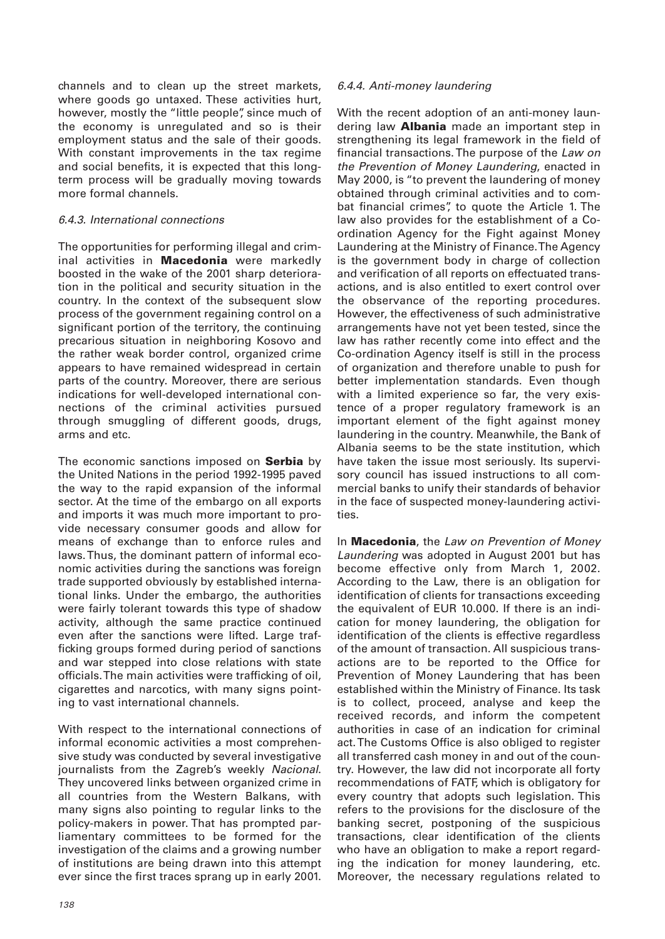channels and to clean up the street markets, where goods go untaxed. These activities hurt, however, mostly the "little people", since much of the economy is unregulated and so is their employment status and the sale of their goods. With constant improvements in the tax regime and social benefits, it is expected that this longterm process will be gradually moving towards more formal channels.

## 6.4.3. International connections

The opportunities for performing illegal and criminal activities in **Macedonia** were markedly boosted in the wake of the 2001 sharp deterioration in the political and security situation in the country. In the context of the subsequent slow process of the government regaining control on a significant portion of the territory, the continuing precarious situation in neighboring Kosovo and the rather weak border control, organized crime appears to have remained widespread in certain parts of the country. Moreover, there are serious indications for well-developed international connections of the criminal activities pursued through smuggling of different goods, drugs, arms and etc.

The economic sanctions imposed on **Serbia** by the United Nations in the period 1992-1995 paved the way to the rapid expansion of the informal sector. At the time of the embargo on all exports and imports it was much more important to provide necessary consumer goods and allow for means of exchange than to enforce rules and laws. Thus, the dominant pattern of informal economic activities during the sanctions was foreign trade supported obviously by established international links. Under the embargo, the authorities were fairly tolerant towards this type of shadow activity, although the same practice continued even after the sanctions were lifted. Large trafficking groups formed during period of sanctions and war stepped into close relations with state officials. The main activities were trafficking of oil, cigarettes and narcotics, with many signs pointing to vast international channels.

With respect to the international connections of informal economic activities a most comprehensive study was conducted by several investigative journalists from the Zagreb's weekly Nacional. They uncovered links between organized crime in all countries from the Western Balkans, with many signs also pointing to regular links to the policy-makers in power. That has prompted parliamentary committees to be formed for the investigation of the claims and a growing number of institutions are being drawn into this attempt ever since the first traces sprang up in early 2001.

## 6.4.4. Anti-money laundering

With the recent adoption of an anti-money laundering law **Albania** made an important step in strengthening its legal framework in the field of financial transactions. The purpose of the Law on the Prevention of Money Laundering, enacted in May 2000, is "to prevent the laundering of money obtained through criminal activities and to combat financial crimes", to quote the Article 1. The law also provides for the establishment of a Coordination Agency for the Fight against Money Laundering at the Ministry of Finance. The Agency is the government body in charge of collection and verification of all reports on effectuated transactions, and is also entitled to exert control over the observance of the reporting procedures. However, the effectiveness of such administrative arrangements have not yet been tested, since the law has rather recently come into effect and the Co-ordination Agency itself is still in the process of organization and therefore unable to push for better implementation standards. Even though with a limited experience so far, the very existence of a proper regulatory framework is an important element of the fight against money laundering in the country. Meanwhile, the Bank of Albania seems to be the state institution, which have taken the issue most seriously. Its supervisory council has issued instructions to all commercial banks to unify their standards of behavior in the face of suspected money-laundering activities.

In **Macedonia**, the Law on Prevention of Money Laundering was adopted in August 2001 but has become effective only from March 1, 2002. According to the Law, there is an obligation for identification of clients for transactions exceeding the equivalent of EUR 10.000. If there is an indication for money laundering, the obligation for identification of the clients is effective regardless of the amount of transaction. All suspicious transactions are to be reported to the Office for Prevention of Money Laundering that has been established within the Ministry of Finance. Its task is to collect, proceed, analyse and keep the received records, and inform the competent authorities in case of an indication for criminal act. The Customs Office is also obliged to register all transferred cash money in and out of the country. However, the law did not incorporate all forty recommendations of FATF, which is obligatory for every country that adopts such legislation. This refers to the provisions for the disclosure of the banking secret, postponing of the suspicious transactions, clear identification of the clients who have an obligation to make a report regarding the indication for money laundering, etc. Moreover, the necessary regulations related to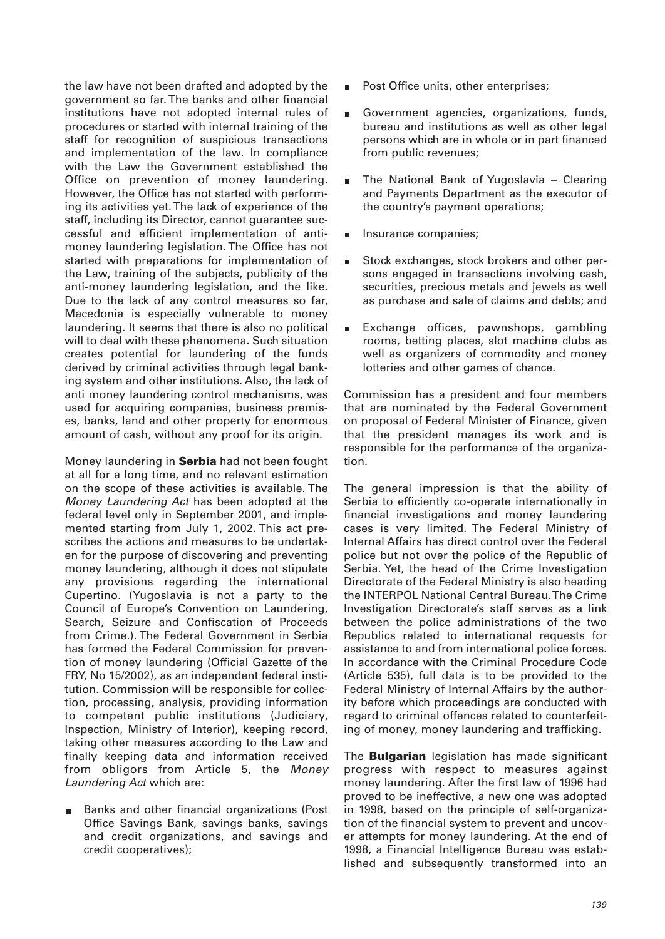the law have not been drafted and adopted by the government so far. The banks and other financial institutions have not adopted internal rules of procedures or started with internal training of the staff for recognition of suspicious transactions and implementation of the law. In compliance with the Law the Government established the Office on prevention of money laundering. However, the Office has not started with performing its activities yet. The lack of experience of the staff, including its Director, cannot guarantee successful and efficient implementation of antimoney laundering legislation. The Office has not started with preparations for implementation of the Law, training of the subjects, publicity of the anti-money laundering legislation, and the like. Due to the lack of any control measures so far, Macedonia is especially vulnerable to money laundering. It seems that there is also no political will to deal with these phenomena. Such situation creates potential for laundering of the funds derived by criminal activities through legal banking system and other institutions. Also, the lack of anti money laundering control mechanisms, was used for acquiring companies, business premises, banks, land and other property for enormous amount of cash, without any proof for its origin.

Money laundering in **Serbia** had not been fought at all for a long time, and no relevant estimation on the scope of these activities is available. The Money Laundering Act has been adopted at the federal level only in September 2001, and implemented starting from July 1, 2002. This act prescribes the actions and measures to be undertaken for the purpose of discovering and preventing money laundering, although it does not stipulate any provisions regarding the international Cupertino. (Yugoslavia is not a party to the Council of Europe's Convention on Laundering, Search, Seizure and Confiscation of Proceeds from Crime.). The Federal Government in Serbia has formed the Federal Commission for prevention of money laundering (Official Gazette of the FRY, No 15/2002), as an independent federal institution. Commission will be responsible for collection, processing, analysis, providing information to competent public institutions (Judiciary, Inspection, Ministry of Interior), keeping record, taking other measures according to the Law and finally keeping data and information received from obligors from Article 5, the Money Laundering Act which are:

Banks and other financial organizations (Post Office Savings Bank, savings banks, savings and credit organizations, and savings and credit cooperatives);

- Post Office units, other enterprises;
- Government agencies, organizations, funds,  $\blacksquare$ bureau and institutions as well as other legal persons which are in whole or in part financed from public revenues;
- The National Bank of Yugoslavia Clearing and Payments Department as the executor of the country's payment operations;
- Insurance companies;
- Stock exchanges, stock brokers and other persons engaged in transactions involving cash, securities, precious metals and jewels as well as purchase and sale of claims and debts; and
- Exchange offices, pawnshops, gambling rooms, betting places, slot machine clubs as well as organizers of commodity and money lotteries and other games of chance.

Commission has a president and four members that are nominated by the Federal Government on proposal of Federal Minister of Finance, given that the president manages its work and is responsible for the performance of the organization.

The general impression is that the ability of Serbia to efficiently co-operate internationally in financial investigations and money laundering cases is very limited. The Federal Ministry of Internal Affairs has direct control over the Federal police but not over the police of the Republic of Serbia. Yet, the head of the Crime Investigation Directorate of the Federal Ministry is also heading the INTERPOL National Central Bureau. The Crime Investigation Directorate's staff serves as a link between the police administrations of the two Republics related to international requests for assistance to and from international police forces. In accordance with the Criminal Procedure Code (Article 535), full data is to be provided to the Federal Ministry of Internal Affairs by the authority before which proceedings are conducted with regard to criminal offences related to counterfeiting of money, money laundering and trafficking.

The **Bulgarian** legislation has made significant progress with respect to measures against money laundering. After the first law of 1996 had proved to be ineffective, a new one was adopted in 1998, based on the principle of self-organization of the financial system to prevent and uncover attempts for money laundering. At the end of 1998, a Financial Intelligence Bureau was established and subsequently transformed into an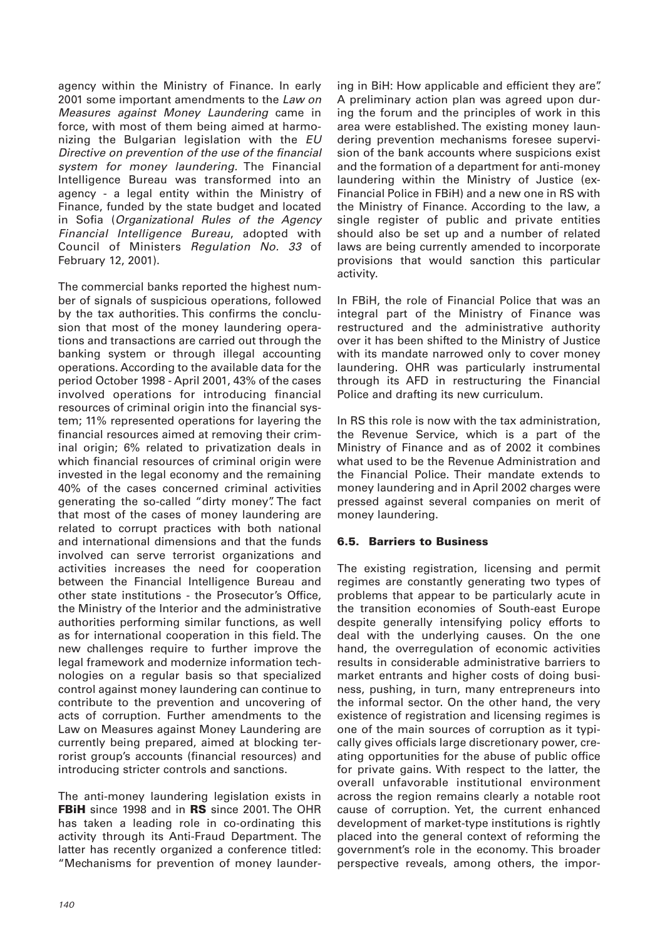agency within the Ministry of Finance. In early 2001 some important amendments to the Law on Measures against Money Laundering came in force, with most of them being aimed at harmonizing the Bulgarian legislation with the EU Directive on prevention of the use of the financial system for money laundering. The Financial Intelligence Bureau was transformed into an agency - a legal entity within the Ministry of Finance, funded by the state budget and located in Sofia (Organizational Rules of the Agency Financial Intelligence Bureau, adopted with Council of Ministers Regulation No. 33 of February 12, 2001).

The commercial banks reported the highest number of signals of suspicious operations, followed by the tax authorities. This confirms the conclusion that most of the money laundering operations and transactions are carried out through the banking system or through illegal accounting operations. According to the available data for the period October 1998 - April 2001, 43% of the cases involved operations for introducing financial resources of criminal origin into the financial system; 11% represented operations for layering the financial resources aimed at removing their criminal origin; 6% related to privatization deals in which financial resources of criminal origin were invested in the legal economy and the remaining 40% of the cases concerned criminal activities generating the so-called "dirty money". The fact that most of the cases of money laundering are related to corrupt practices with both national and international dimensions and that the funds involved can serve terrorist organizations and activities increases the need for cooperation between the Financial Intelligence Bureau and other state institutions - the Prosecutor's Office, the Ministry of the Interior and the administrative authorities performing similar functions, as well as for international cooperation in this field. The new challenges require to further improve the legal framework and modernize information technologies on a regular basis so that specialized control against money laundering can continue to contribute to the prevention and uncovering of acts of corruption. Further amendments to the Law on Measures against Money Laundering are currently being prepared, aimed at blocking terrorist group's accounts (financial resources) and introducing stricter controls and sanctions.

The anti-money laundering legislation exists in **FBiH** since 1998 and in **RS** since 2001. The OHR has taken a leading role in co-ordinating this activity through its Anti-Fraud Department. The latter has recently organized a conference titled: "Mechanisms for prevention of money laundering in BiH: How applicable and efficient they are". A preliminary action plan was agreed upon during the forum and the principles of work in this area were established. The existing money laundering prevention mechanisms foresee supervision of the bank accounts where suspicions exist and the formation of a department for anti-money laundering within the Ministry of Justice (ex-Financial Police in FBiH) and a new one in RS with the Ministry of Finance. According to the law, a single register of public and private entities should also be set up and a number of related laws are being currently amended to incorporate provisions that would sanction this particular activity.

In FBiH, the role of Financial Police that was an integral part of the Ministry of Finance was restructured and the administrative authority over it has been shifted to the Ministry of Justice with its mandate narrowed only to cover money laundering. OHR was particularly instrumental through its AFD in restructuring the Financial Police and drafting its new curriculum.

In RS this role is now with the tax administration, the Revenue Service, which is a part of the Ministry of Finance and as of 2002 it combines what used to be the Revenue Administration and the Financial Police. Their mandate extends to money laundering and in April 2002 charges were pressed against several companies on merit of money laundering.

## **6.5. Barriers to Business**

The existing registration, licensing and permit regimes are constantly generating two types of problems that appear to be particularly acute in the transition economies of South-east Europe despite generally intensifying policy efforts to deal with the underlying causes. On the one hand, the overregulation of economic activities results in considerable administrative barriers to market entrants and higher costs of doing business, pushing, in turn, many entrepreneurs into the informal sector. On the other hand, the very existence of registration and licensing regimes is one of the main sources of corruption as it typically gives officials large discretionary power, creating opportunities for the abuse of public office for private gains. With respect to the latter, the overall unfavorable institutional environment across the region remains clearly a notable root cause of corruption. Yet, the current enhanced development of market-type institutions is rightly placed into the general context of reforming the government's role in the economy. This broader perspective reveals, among others, the impor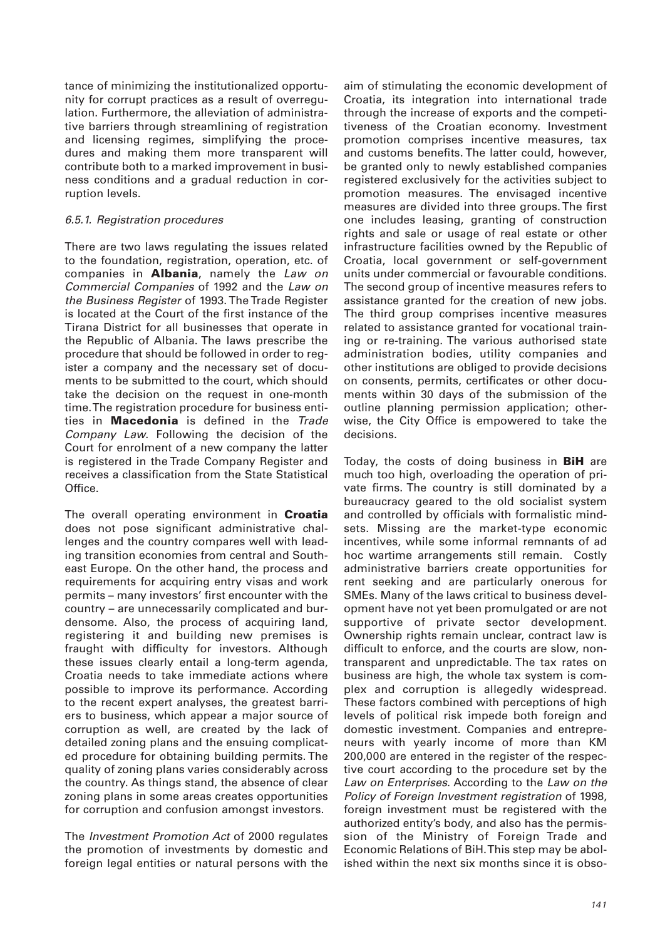tance of minimizing the institutionalized opportunity for corrupt practices as a result of overregulation. Furthermore, the alleviation of administrative barriers through streamlining of registration and licensing regimes, simplifying the procedures and making them more transparent will contribute both to a marked improvement in business conditions and a gradual reduction in corruption levels.

#### 6.5.1. Registration procedures

There are two laws regulating the issues related to the foundation, registration, operation, etc. of companies in **Albania**, namely the Law on Commercial Companies of 1992 and the Law on the Business Register of 1993. The Trade Register is located at the Court of the first instance of the Tirana District for all businesses that operate in the Republic of Albania. The laws prescribe the procedure that should be followed in order to register a company and the necessary set of documents to be submitted to the court, which should take the decision on the request in one-month time. The registration procedure for business entities in **Macedonia** is defined in the Trade Company Law. Following the decision of the Court for enrolment of a new company the latter is registered in the Trade Company Register and receives a classification from the State Statistical Office.

The overall operating environment in **Croatia** does not pose significant administrative challenges and the country compares well with leading transition economies from central and Southeast Europe. On the other hand, the process and requirements for acquiring entry visas and work permits – many investors' first encounter with the country – are unnecessarily complicated and burdensome. Also, the process of acquiring land, registering it and building new premises is fraught with difficulty for investors. Although these issues clearly entail a long-term agenda, Croatia needs to take immediate actions where possible to improve its performance. According to the recent expert analyses, the greatest barriers to business, which appear a major source of corruption as well, are created by the lack of detailed zoning plans and the ensuing complicated procedure for obtaining building permits. The quality of zoning plans varies considerably across the country. As things stand, the absence of clear zoning plans in some areas creates opportunities for corruption and confusion amongst investors.

The Investment Promotion Act of 2000 regulates the promotion of investments by domestic and foreign legal entities or natural persons with the aim of stimulating the economic development of Croatia, its integration into international trade through the increase of exports and the competitiveness of the Croatian economy. Investment promotion comprises incentive measures, tax and customs benefits. The latter could, however, be granted only to newly established companies registered exclusively for the activities subject to promotion measures. The envisaged incentive measures are divided into three groups. The first one includes leasing, granting of construction rights and sale or usage of real estate or other infrastructure facilities owned by the Republic of Croatia, local government or self-government units under commercial or favourable conditions. The second group of incentive measures refers to assistance granted for the creation of new jobs. The third group comprises incentive measures related to assistance granted for vocational training or re-training. The various authorised state administration bodies, utility companies and other institutions are obliged to provide decisions on consents, permits, certificates or other documents within 30 days of the submission of the outline planning permission application; otherwise, the City Office is empowered to take the decisions.

Today, the costs of doing business in **BiH** are much too high, overloading the operation of private firms. The country is still dominated by a bureaucracy geared to the old socialist system and controlled by officials with formalistic mindsets. Missing are the market-type economic incentives, while some informal remnants of ad hoc wartime arrangements still remain. Costly administrative barriers create opportunities for rent seeking and are particularly onerous for SMEs. Many of the laws critical to business development have not yet been promulgated or are not supportive of private sector development. Ownership rights remain unclear, contract law is difficult to enforce, and the courts are slow, nontransparent and unpredictable. The tax rates on business are high, the whole tax system is complex and corruption is allegedly widespread. These factors combined with perceptions of high levels of political risk impede both foreign and domestic investment. Companies and entrepreneurs with yearly income of more than KM 200,000 are entered in the register of the respective court according to the procedure set by the Law on Enterprises. According to the Law on the Policy of Foreign Investment registration of 1998, foreign investment must be registered with the authorized entity's body, and also has the permission of the Ministry of Foreign Trade and Economic Relations of BiH. This step may be abolished within the next six months since it is obso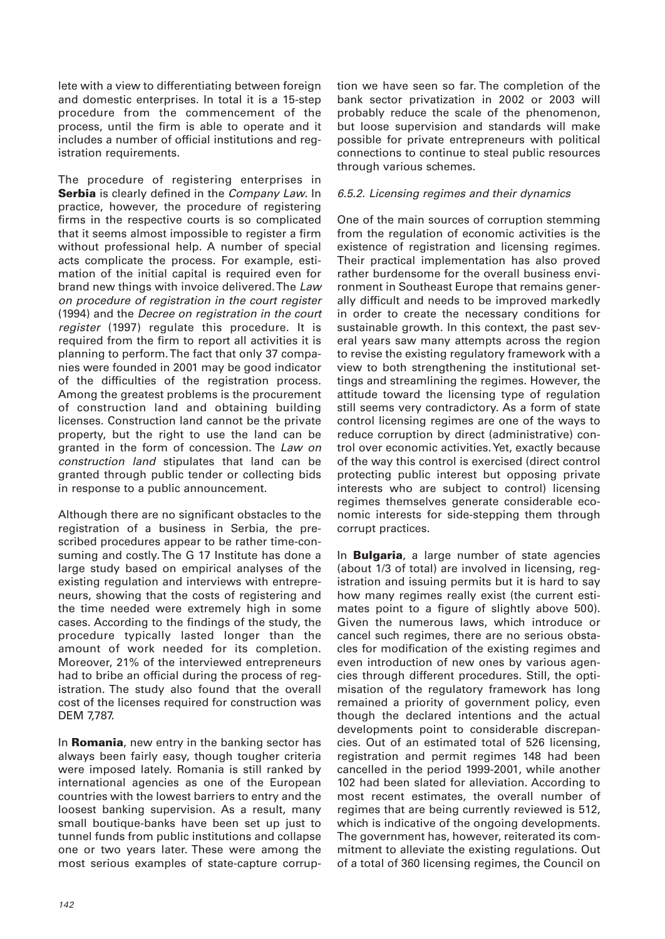lete with a view to differentiating between foreign and domestic enterprises. In total it is a 15-step procedure from the commencement of the process, until the firm is able to operate and it includes a number of official institutions and registration requirements.

The procedure of registering enterprises in **Serbia** is clearly defined in the *Company Law*. In practice, however, the procedure of registering firms in the respective courts is so complicated that it seems almost impossible to register a firm without professional help. A number of special acts complicate the process. For example, estimation of the initial capital is required even for brand new things with invoice delivered. The Law on procedure of registration in the court register (1994) and the Decree on registration in the court register (1997) regulate this procedure. It is required from the firm to report all activities it is planning to perform. The fact that only 37 companies were founded in 2001 may be good indicator of the difficulties of the registration process. Among the greatest problems is the procurement of construction land and obtaining building licenses. Construction land cannot be the private property, but the right to use the land can be granted in the form of concession. The Law on construction land stipulates that land can be granted through public tender or collecting bids in response to a public announcement.

Although there are no significant obstacles to the registration of a business in Serbia, the prescribed procedures appear to be rather time-consuming and costly. The G 17 Institute has done a large study based on empirical analyses of the existing regulation and interviews with entrepreneurs, showing that the costs of registering and the time needed were extremely high in some cases. According to the findings of the study, the procedure typically lasted longer than the amount of work needed for its completion. Moreover, 21% of the interviewed entrepreneurs had to bribe an official during the process of registration. The study also found that the overall cost of the licenses required for construction was DEM 7,787.

In **Romania**, new entry in the banking sector has always been fairly easy, though tougher criteria were imposed lately. Romania is still ranked by international agencies as one of the European countries with the lowest barriers to entry and the loosest banking supervision. As a result, many small boutique-banks have been set up just to tunnel funds from public institutions and collapse one or two years later. These were among the most serious examples of state-capture corruption we have seen so far. The completion of the bank sector privatization in 2002 or 2003 will probably reduce the scale of the phenomenon, but loose supervision and standards will make possible for private entrepreneurs with political connections to continue to steal public resources through various schemes.

## 6.5.2. Licensing regimes and their dynamics

One of the main sources of corruption stemming from the regulation of economic activities is the existence of registration and licensing regimes. Their practical implementation has also proved rather burdensome for the overall business environment in Southeast Europe that remains generally difficult and needs to be improved markedly in order to create the necessary conditions for sustainable growth. In this context, the past several years saw many attempts across the region to revise the existing regulatory framework with a view to both strengthening the institutional settings and streamlining the regimes. However, the attitude toward the licensing type of regulation still seems very contradictory. As a form of state control licensing regimes are one of the ways to reduce corruption by direct (administrative) control over economic activities. Yet, exactly because of the way this control is exercised (direct control protecting public interest but opposing private interests who are subject to control) licensing regimes themselves generate considerable economic interests for side-stepping them through corrupt practices.

In **Bulgaria**, a large number of state agencies (about 1/3 of total) are involved in licensing, registration and issuing permits but it is hard to say how many regimes really exist (the current estimates point to a figure of slightly above 500). Given the numerous laws, which introduce or cancel such regimes, there are no serious obstacles for modification of the existing regimes and even introduction of new ones by various agencies through different procedures. Still, the optimisation of the regulatory framework has long remained a priority of government policy, even though the declared intentions and the actual developments point to considerable discrepancies. Out of an estimated total of 526 licensing, registration and permit regimes 148 had been cancelled in the period 1999-2001, while another 102 had been slated for alleviation. According to most recent estimates, the overall number of regimes that are being currently reviewed is 512, which is indicative of the ongoing developments. The government has, however, reiterated its commitment to alleviate the existing regulations. Out of a total of 360 licensing regimes, the Council on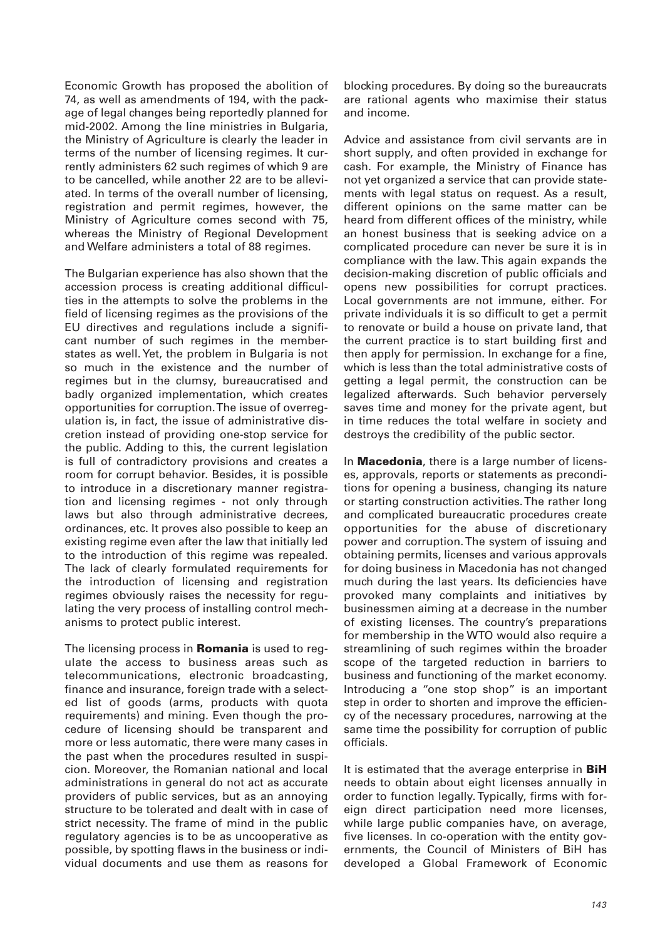Economic Growth has proposed the abolition of 74, as well as amendments of 194, with the package of legal changes being reportedly planned for mid-2002. Among the line ministries in Bulgaria, the Ministry of Agriculture is clearly the leader in terms of the number of licensing regimes. It currently administers 62 such regimes of which 9 are to be cancelled, while another 22 are to be alleviated. In terms of the overall number of licensing, registration and permit regimes, however, the Ministry of Agriculture comes second with 75, whereas the Ministry of Regional Development and Welfare administers a total of 88 regimes.

The Bulgarian experience has also shown that the accession process is creating additional difficulties in the attempts to solve the problems in the field of licensing regimes as the provisions of the EU directives and regulations include a significant number of such regimes in the memberstates as well. Yet, the problem in Bulgaria is not so much in the existence and the number of regimes but in the clumsy, bureaucratised and badly organized implementation, which creates opportunities for corruption. The issue of overregulation is, in fact, the issue of administrative discretion instead of providing one-stop service for the public. Adding to this, the current legislation is full of contradictory provisions and creates a room for corrupt behavior. Besides, it is possible to introduce in a discretionary manner registration and licensing regimes - not only through laws but also through administrative decrees, ordinances, etc. It proves also possible to keep an existing regime even after the law that initially led to the introduction of this regime was repealed. The lack of clearly formulated requirements for the introduction of licensing and registration regimes obviously raises the necessity for regulating the very process of installing control mechanisms to protect public interest.

The licensing process in **Romania** is used to regulate the access to business areas such as telecommunications, electronic broadcasting, finance and insurance, foreign trade with a selected list of goods (arms, products with quota requirements) and mining. Even though the procedure of licensing should be transparent and more or less automatic, there were many cases in the past when the procedures resulted in suspicion. Moreover, the Romanian national and local administrations in general do not act as accurate providers of public services, but as an annoying structure to be tolerated and dealt with in case of strict necessity. The frame of mind in the public regulatory agencies is to be as uncooperative as possible, by spotting flaws in the business or individual documents and use them as reasons for

blocking procedures. By doing so the bureaucrats are rational agents who maximise their status and income.

Advice and assistance from civil servants are in short supply, and often provided in exchange for cash. For example, the Ministry of Finance has not yet organized a service that can provide statements with legal status on request. As a result, different opinions on the same matter can be heard from different offices of the ministry, while an honest business that is seeking advice on a complicated procedure can never be sure it is in compliance with the law. This again expands the decision-making discretion of public officials and opens new possibilities for corrupt practices. Local governments are not immune, either. For private individuals it is so difficult to get a permit to renovate or build a house on private land, that the current practice is to start building first and then apply for permission. In exchange for a fine, which is less than the total administrative costs of getting a legal permit, the construction can be legalized afterwards. Such behavior perversely saves time and money for the private agent, but in time reduces the total welfare in society and destroys the credibility of the public sector.

In **Macedonia**, there is a large number of licenses, approvals, reports or statements as preconditions for opening a business, changing its nature or starting construction activities. The rather long and complicated bureaucratic procedures create opportunities for the abuse of discretionary power and corruption. The system of issuing and obtaining permits, licenses and various approvals for doing business in Macedonia has not changed much during the last years. Its deficiencies have provoked many complaints and initiatives by businessmen aiming at a decrease in the number of existing licenses. The country's preparations for membership in the WTO would also require a streamlining of such regimes within the broader scope of the targeted reduction in barriers to business and functioning of the market economy. Introducing a "one stop shop" is an important step in order to shorten and improve the efficiency of the necessary procedures, narrowing at the same time the possibility for corruption of public officials.

It is estimated that the average enterprise in **BiH** needs to obtain about eight licenses annually in order to function legally. Typically, firms with foreign direct participation need more licenses, while large public companies have, on average, five licenses. In co-operation with the entity governments, the Council of Ministers of BiH has developed a Global Framework of Economic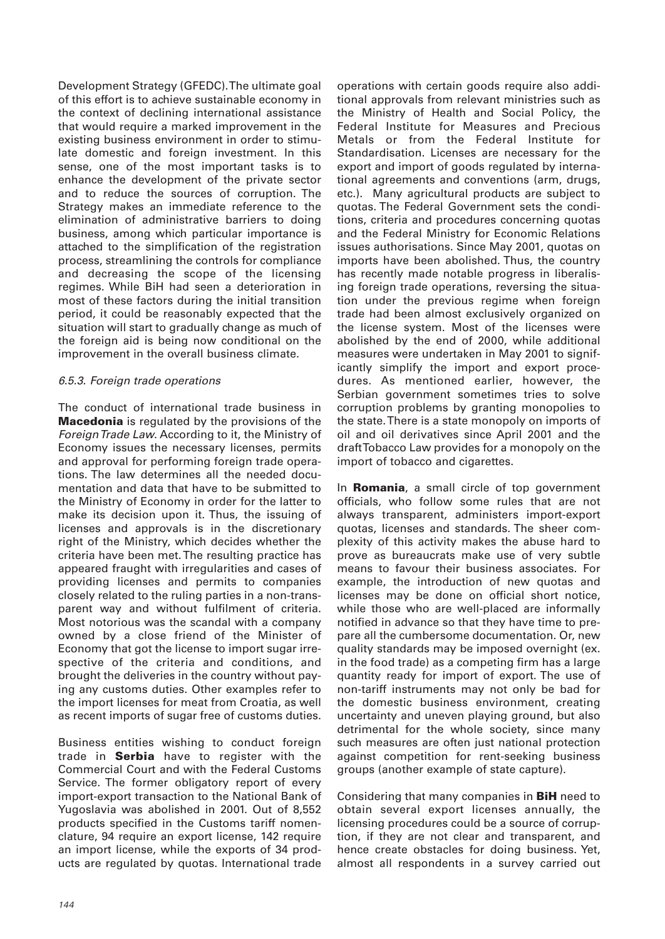Development Strategy (GFEDC). The ultimate goal of this effort is to achieve sustainable economy in the context of declining international assistance that would require a marked improvement in the existing business environment in order to stimulate domestic and foreign investment. In this sense, one of the most important tasks is to enhance the development of the private sector and to reduce the sources of corruption. The Strategy makes an immediate reference to the elimination of administrative barriers to doing business, among which particular importance is attached to the simplification of the registration process, streamlining the controls for compliance and decreasing the scope of the licensing regimes. While BiH had seen a deterioration in most of these factors during the initial transition period, it could be reasonably expected that the situation will start to gradually change as much of the foreign aid is being now conditional on the improvement in the overall business climate.

## 6.5.3. Foreign trade operations

The conduct of international trade business in **Macedonia** is regulated by the provisions of the Foreign Trade Law. According to it, the Ministry of Economy issues the necessary licenses, permits and approval for performing foreign trade operations. The law determines all the needed documentation and data that have to be submitted to the Ministry of Economy in order for the latter to make its decision upon it. Thus, the issuing of licenses and approvals is in the discretionary right of the Ministry, which decides whether the criteria have been met. The resulting practice has appeared fraught with irregularities and cases of providing licenses and permits to companies closely related to the ruling parties in a non-transparent way and without fulfilment of criteria. Most notorious was the scandal with a company owned by a close friend of the Minister of Economy that got the license to import sugar irrespective of the criteria and conditions, and brought the deliveries in the country without paying any customs duties. Other examples refer to the import licenses for meat from Croatia, as well as recent imports of sugar free of customs duties.

Business entities wishing to conduct foreign trade in **Serbia** have to register with the Commercial Court and with the Federal Customs Service. The former obligatory report of every import-export transaction to the National Bank of Yugoslavia was abolished in 2001. Out of 8,552 products specified in the Customs tariff nomenclature, 94 require an export license, 142 require an import license, while the exports of 34 products are regulated by quotas. International trade

operations with certain goods require also additional approvals from relevant ministries such as the Ministry of Health and Social Policy, the Federal Institute for Measures and Precious Metals or from the Federal Institute for Standardisation. Licenses are necessary for the export and import of goods regulated by international agreements and conventions (arm, drugs, etc.). Many agricultural products are subject to quotas. The Federal Government sets the conditions, criteria and procedures concerning quotas and the Federal Ministry for Economic Relations issues authorisations. Since May 2001, quotas on imports have been abolished. Thus, the country has recently made notable progress in liberalising foreign trade operations, reversing the situation under the previous regime when foreign trade had been almost exclusively organized on the license system. Most of the licenses were abolished by the end of 2000, while additional measures were undertaken in May 2001 to significantly simplify the import and export procedures. As mentioned earlier, however, the Serbian government sometimes tries to solve corruption problems by granting monopolies to the state. There is a state monopoly on imports of oil and oil derivatives since April 2001 and the draft Tobacco Law provides for a monopoly on the import of tobacco and cigarettes.

In **Romania**, a small circle of top government officials, who follow some rules that are not always transparent, administers import-export quotas, licenses and standards. The sheer complexity of this activity makes the abuse hard to prove as bureaucrats make use of very subtle means to favour their business associates. For example, the introduction of new quotas and licenses may be done on official short notice, while those who are well-placed are informally notified in advance so that they have time to prepare all the cumbersome documentation. Or, new quality standards may be imposed overnight (ex. in the food trade) as a competing firm has a large quantity ready for import of export. The use of non-tariff instruments may not only be bad for the domestic business environment, creating uncertainty and uneven playing ground, but also detrimental for the whole society, since many such measures are often just national protection against competition for rent-seeking business groups (another example of state capture).

Considering that many companies in **BiH** need to obtain several export licenses annually, the licensing procedures could be a source of corruption, if they are not clear and transparent, and hence create obstacles for doing business. Yet, almost all respondents in a survey carried out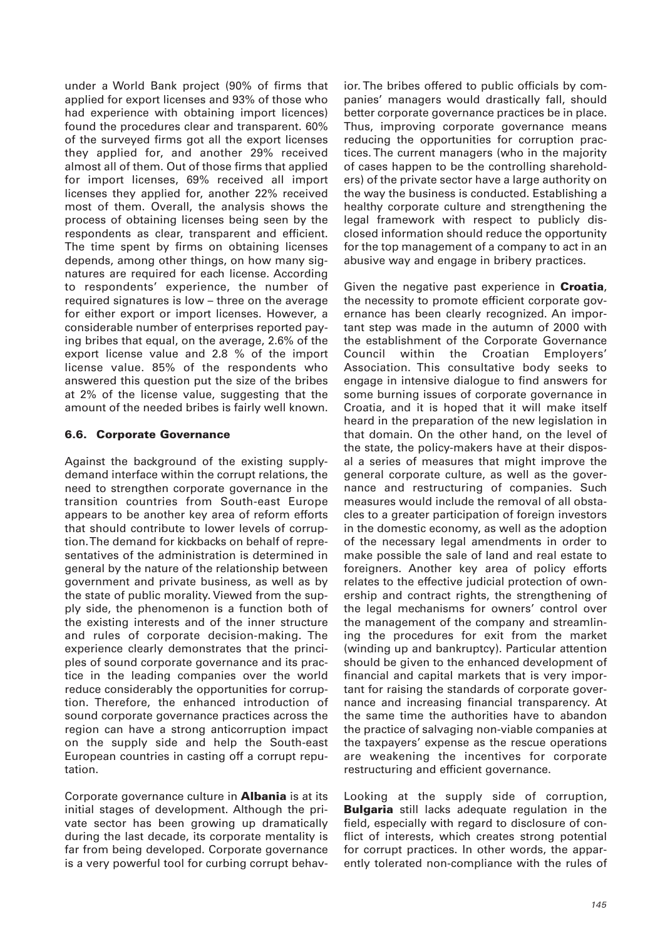under a World Bank project (90% of firms that applied for export licenses and 93% of those who had experience with obtaining import licences) found the procedures clear and transparent. 60% of the surveyed firms got all the export licenses they applied for, and another 29% received almost all of them. Out of those firms that applied for import licenses, 69% received all import licenses they applied for, another 22% received most of them. Overall, the analysis shows the process of obtaining licenses being seen by the respondents as clear, transparent and efficient. The time spent by firms on obtaining licenses depends, among other things, on how many signatures are required for each license. According to respondents' experience, the number of required signatures is low – three on the average for either export or import licenses. However, a considerable number of enterprises reported paying bribes that equal, on the average, 2.6% of the export license value and 2.8 % of the import license value. 85% of the respondents who answered this question put the size of the bribes at 2% of the license value, suggesting that the amount of the needed bribes is fairly well known.

#### **6.6. Corporate Governance**

Against the background of the existing supplydemand interface within the corrupt relations, the need to strengthen corporate governance in the transition countries from South-east Europe appears to be another key area of reform efforts that should contribute to lower levels of corruption. The demand for kickbacks on behalf of representatives of the administration is determined in general by the nature of the relationship between government and private business, as well as by the state of public morality. Viewed from the supply side, the phenomenon is a function both of the existing interests and of the inner structure and rules of corporate decision-making. The experience clearly demonstrates that the principles of sound corporate governance and its practice in the leading companies over the world reduce considerably the opportunities for corruption. Therefore, the enhanced introduction of sound corporate governance practices across the region can have a strong anticorruption impact on the supply side and help the South-east European countries in casting off a corrupt reputation.

Corporate governance culture in **Albania** is at its initial stages of development. Although the private sector has been growing up dramatically during the last decade, its corporate mentality is far from being developed. Corporate governance is a very powerful tool for curbing corrupt behavior. The bribes offered to public officials by companies' managers would drastically fall, should better corporate governance practices be in place. Thus, improving corporate governance means reducing the opportunities for corruption practices. The current managers (who in the majority of cases happen to be the controlling shareholders) of the private sector have a large authority on the way the business is conducted. Establishing a healthy corporate culture and strengthening the legal framework with respect to publicly disclosed information should reduce the opportunity for the top management of a company to act in an abusive way and engage in bribery practices.

Given the negative past experience in **Croatia**, the necessity to promote efficient corporate governance has been clearly recognized. An important step was made in the autumn of 2000 with the establishment of the Corporate Governance Council within the Croatian Employers' Association. This consultative body seeks to engage in intensive dialogue to find answers for some burning issues of corporate governance in Croatia, and it is hoped that it will make itself heard in the preparation of the new legislation in that domain. On the other hand, on the level of the state, the policy-makers have at their disposal a series of measures that might improve the general corporate culture, as well as the governance and restructuring of companies. Such measures would include the removal of all obstacles to a greater participation of foreign investors in the domestic economy, as well as the adoption of the necessary legal amendments in order to make possible the sale of land and real estate to foreigners. Another key area of policy efforts relates to the effective judicial protection of ownership and contract rights, the strengthening of the legal mechanisms for owners' control over the management of the company and streamlining the procedures for exit from the market (winding up and bankruptcy). Particular attention should be given to the enhanced development of financial and capital markets that is very important for raising the standards of corporate governance and increasing financial transparency. At the same time the authorities have to abandon the practice of salvaging non-viable companies at the taxpayers' expense as the rescue operations are weakening the incentives for corporate restructuring and efficient governance.

Looking at the supply side of corruption, **Bulgaria** still lacks adequate regulation in the field, especially with regard to disclosure of conflict of interests, which creates strong potential for corrupt practices. In other words, the apparently tolerated non-compliance with the rules of